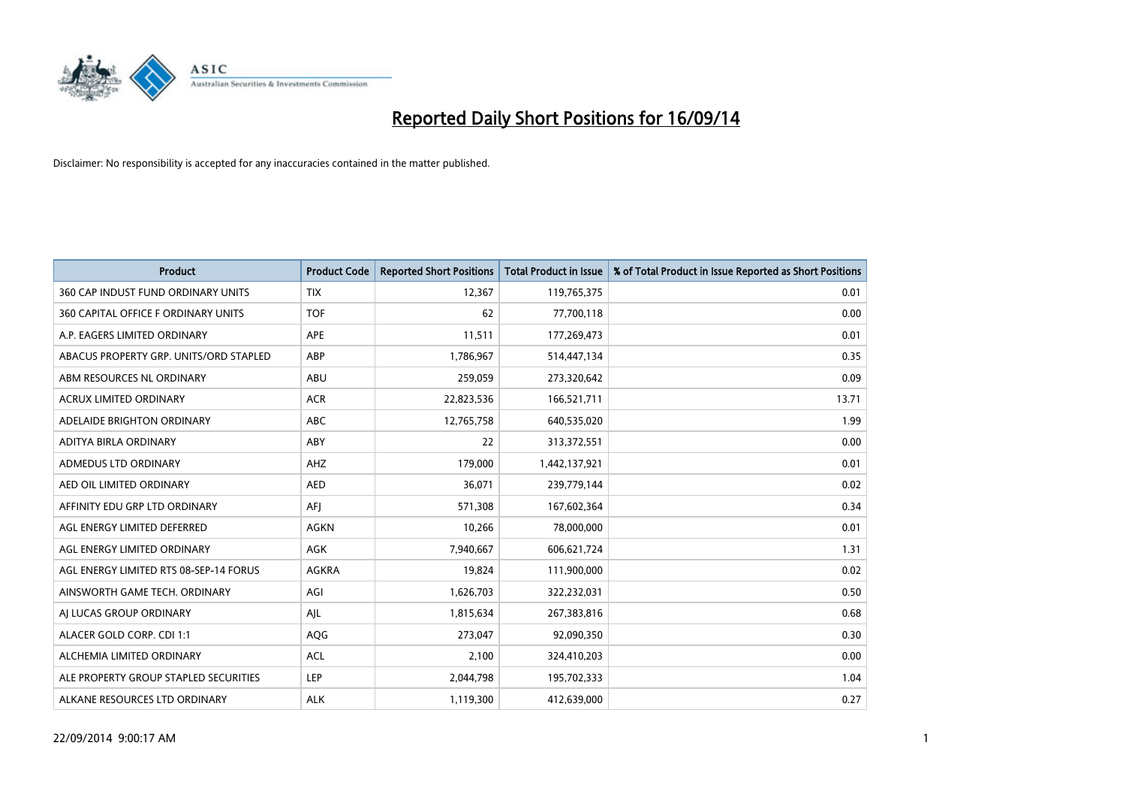

| <b>Product</b>                         | <b>Product Code</b> | <b>Reported Short Positions</b> | <b>Total Product in Issue</b> | % of Total Product in Issue Reported as Short Positions |
|----------------------------------------|---------------------|---------------------------------|-------------------------------|---------------------------------------------------------|
| 360 CAP INDUST FUND ORDINARY UNITS     | <b>TIX</b>          | 12,367                          | 119,765,375                   | 0.01                                                    |
| 360 CAPITAL OFFICE F ORDINARY UNITS    | <b>TOF</b>          | 62                              | 77,700,118                    | 0.00                                                    |
| A.P. EAGERS LIMITED ORDINARY           | APE                 | 11,511                          | 177,269,473                   | 0.01                                                    |
| ABACUS PROPERTY GRP. UNITS/ORD STAPLED | ABP                 | 1,786,967                       | 514,447,134                   | 0.35                                                    |
| ABM RESOURCES NL ORDINARY              | ABU                 | 259,059                         | 273,320,642                   | 0.09                                                    |
| <b>ACRUX LIMITED ORDINARY</b>          | <b>ACR</b>          | 22,823,536                      | 166,521,711                   | 13.71                                                   |
| ADELAIDE BRIGHTON ORDINARY             | <b>ABC</b>          | 12,765,758                      | 640,535,020                   | 1.99                                                    |
| ADITYA BIRLA ORDINARY                  | ABY                 | 22                              | 313,372,551                   | 0.00                                                    |
| ADMEDUS LTD ORDINARY                   | AHZ                 | 179,000                         | 1,442,137,921                 | 0.01                                                    |
| AED OIL LIMITED ORDINARY               | <b>AED</b>          | 36,071                          | 239,779,144                   | 0.02                                                    |
| AFFINITY EDU GRP LTD ORDINARY          | AFJ                 | 571,308                         | 167,602,364                   | 0.34                                                    |
| AGL ENERGY LIMITED DEFERRED            | AGKN                | 10,266                          | 78,000,000                    | 0.01                                                    |
| AGL ENERGY LIMITED ORDINARY            | AGK                 | 7,940,667                       | 606,621,724                   | 1.31                                                    |
| AGL ENERGY LIMITED RTS 08-SEP-14 FORUS | AGKRA               | 19,824                          | 111,900,000                   | 0.02                                                    |
| AINSWORTH GAME TECH. ORDINARY          | AGI                 | 1,626,703                       | 322,232,031                   | 0.50                                                    |
| AJ LUCAS GROUP ORDINARY                | AJL                 | 1,815,634                       | 267,383,816                   | 0.68                                                    |
| ALACER GOLD CORP. CDI 1:1              | AQG                 | 273,047                         | 92,090,350                    | 0.30                                                    |
| ALCHEMIA LIMITED ORDINARY              | <b>ACL</b>          | 2,100                           | 324,410,203                   | 0.00                                                    |
| ALE PROPERTY GROUP STAPLED SECURITIES  | LEP                 | 2,044,798                       | 195,702,333                   | 1.04                                                    |
| ALKANE RESOURCES LTD ORDINARY          | <b>ALK</b>          | 1,119,300                       | 412,639,000                   | 0.27                                                    |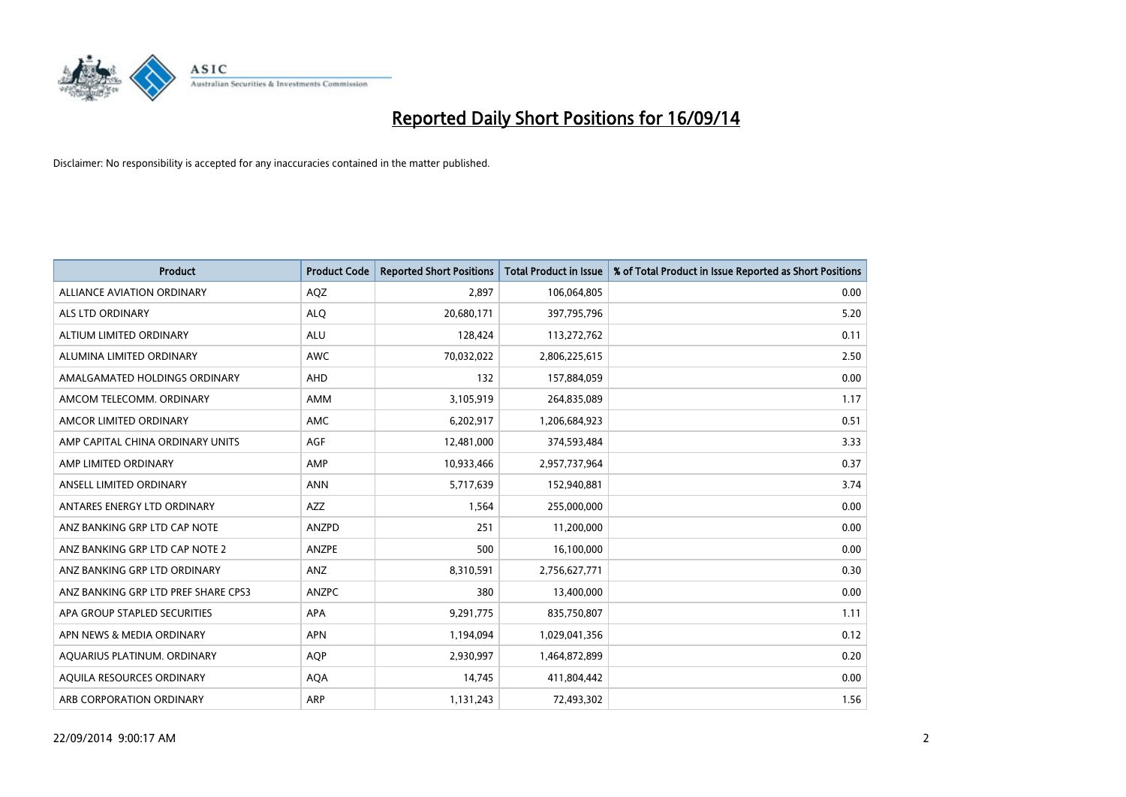

| <b>Product</b>                      | <b>Product Code</b> | <b>Reported Short Positions</b> | <b>Total Product in Issue</b> | % of Total Product in Issue Reported as Short Positions |
|-------------------------------------|---------------------|---------------------------------|-------------------------------|---------------------------------------------------------|
| <b>ALLIANCE AVIATION ORDINARY</b>   | AQZ                 | 2.897                           | 106,064,805                   | 0.00                                                    |
| ALS LTD ORDINARY                    | <b>ALQ</b>          | 20,680,171                      | 397,795,796                   | 5.20                                                    |
| ALTIUM LIMITED ORDINARY             | <b>ALU</b>          | 128,424                         | 113,272,762                   | 0.11                                                    |
| ALUMINA LIMITED ORDINARY            | <b>AWC</b>          | 70,032,022                      | 2,806,225,615                 | 2.50                                                    |
| AMALGAMATED HOLDINGS ORDINARY       | AHD                 | 132                             | 157,884,059                   | 0.00                                                    |
| AMCOM TELECOMM. ORDINARY            | AMM                 | 3,105,919                       | 264,835,089                   | 1.17                                                    |
| AMCOR LIMITED ORDINARY              | AMC                 | 6,202,917                       | 1,206,684,923                 | 0.51                                                    |
| AMP CAPITAL CHINA ORDINARY UNITS    | AGF                 | 12,481,000                      | 374,593,484                   | 3.33                                                    |
| AMP LIMITED ORDINARY                | AMP                 | 10,933,466                      | 2,957,737,964                 | 0.37                                                    |
| ANSELL LIMITED ORDINARY             | <b>ANN</b>          | 5,717,639                       | 152,940,881                   | 3.74                                                    |
| ANTARES ENERGY LTD ORDINARY         | AZZ                 | 1,564                           | 255,000,000                   | 0.00                                                    |
| ANZ BANKING GRP LTD CAP NOTE        | ANZPD               | 251                             | 11,200,000                    | 0.00                                                    |
| ANZ BANKING GRP LTD CAP NOTE 2      | ANZPE               | 500                             | 16,100,000                    | 0.00                                                    |
| ANZ BANKING GRP LTD ORDINARY        | ANZ                 | 8,310,591                       | 2,756,627,771                 | 0.30                                                    |
| ANZ BANKING GRP LTD PREF SHARE CPS3 | <b>ANZPC</b>        | 380                             | 13,400,000                    | 0.00                                                    |
| APA GROUP STAPLED SECURITIES        | APA                 | 9,291,775                       | 835,750,807                   | 1.11                                                    |
| APN NEWS & MEDIA ORDINARY           | <b>APN</b>          | 1,194,094                       | 1,029,041,356                 | 0.12                                                    |
| AQUARIUS PLATINUM. ORDINARY         | <b>AQP</b>          | 2,930,997                       | 1,464,872,899                 | 0.20                                                    |
| AQUILA RESOURCES ORDINARY           | <b>AQA</b>          | 14,745                          | 411,804,442                   | 0.00                                                    |
| ARB CORPORATION ORDINARY            | ARP                 | 1,131,243                       | 72,493,302                    | 1.56                                                    |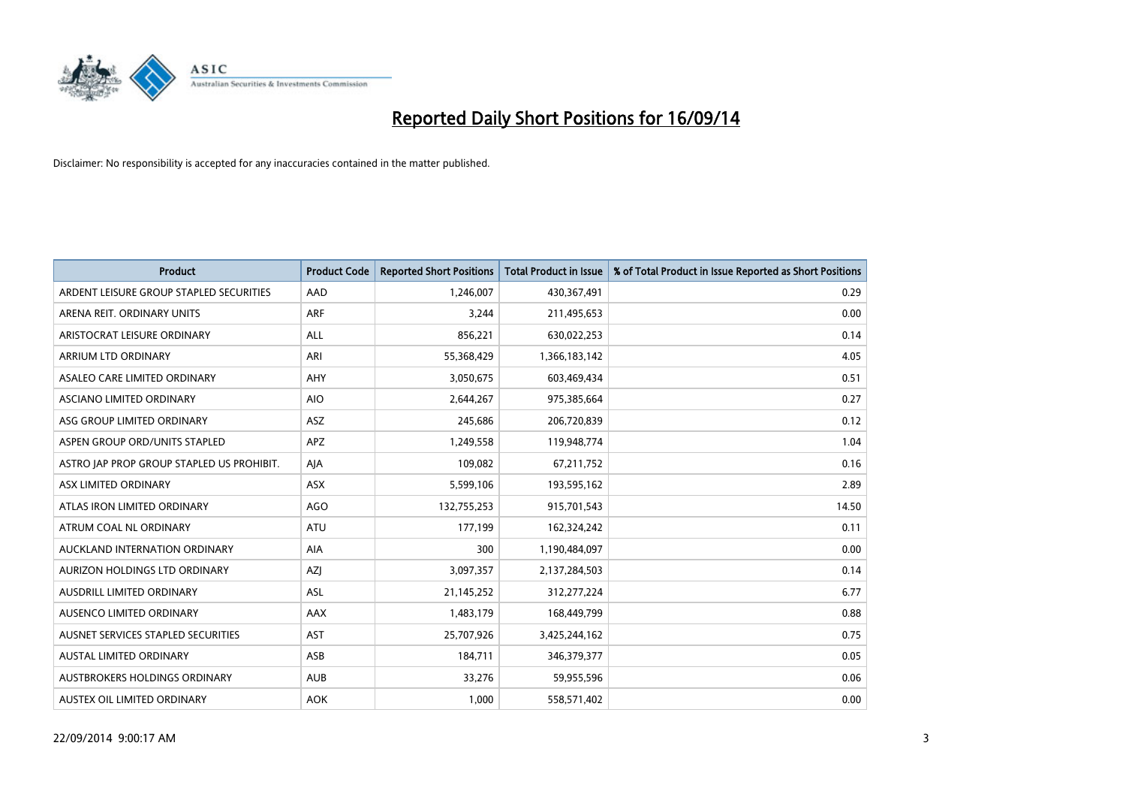

| <b>Product</b>                            | <b>Product Code</b> | <b>Reported Short Positions</b> | <b>Total Product in Issue</b> | % of Total Product in Issue Reported as Short Positions |
|-------------------------------------------|---------------------|---------------------------------|-------------------------------|---------------------------------------------------------|
| ARDENT LEISURE GROUP STAPLED SECURITIES   | AAD                 | 1,246,007                       | 430,367,491                   | 0.29                                                    |
| ARENA REIT. ORDINARY UNITS                | <b>ARF</b>          | 3,244                           | 211,495,653                   | 0.00                                                    |
| ARISTOCRAT LEISURE ORDINARY               | ALL                 | 856,221                         | 630,022,253                   | 0.14                                                    |
| ARRIUM LTD ORDINARY                       | ARI                 | 55,368,429                      | 1,366,183,142                 | 4.05                                                    |
| ASALEO CARE LIMITED ORDINARY              | AHY                 | 3,050,675                       | 603,469,434                   | 0.51                                                    |
| ASCIANO LIMITED ORDINARY                  | <b>AIO</b>          | 2,644,267                       | 975,385,664                   | 0.27                                                    |
| ASG GROUP LIMITED ORDINARY                | ASZ                 | 245,686                         | 206,720,839                   | 0.12                                                    |
| ASPEN GROUP ORD/UNITS STAPLED             | <b>APZ</b>          | 1,249,558                       | 119,948,774                   | 1.04                                                    |
| ASTRO JAP PROP GROUP STAPLED US PROHIBIT. | AJA                 | 109,082                         | 67,211,752                    | 0.16                                                    |
| ASX LIMITED ORDINARY                      | ASX                 | 5,599,106                       | 193,595,162                   | 2.89                                                    |
| ATLAS IRON LIMITED ORDINARY               | <b>AGO</b>          | 132,755,253                     | 915,701,543                   | 14.50                                                   |
| ATRUM COAL NL ORDINARY                    | ATU                 | 177,199                         | 162,324,242                   | 0.11                                                    |
| AUCKLAND INTERNATION ORDINARY             | AIA                 | 300                             | 1,190,484,097                 | 0.00                                                    |
| AURIZON HOLDINGS LTD ORDINARY             | AZJ                 | 3,097,357                       | 2,137,284,503                 | 0.14                                                    |
| AUSDRILL LIMITED ORDINARY                 | ASL                 | 21,145,252                      | 312,277,224                   | 6.77                                                    |
| AUSENCO LIMITED ORDINARY                  | AAX                 | 1,483,179                       | 168,449,799                   | 0.88                                                    |
| AUSNET SERVICES STAPLED SECURITIES        | AST                 | 25,707,926                      | 3,425,244,162                 | 0.75                                                    |
| AUSTAL LIMITED ORDINARY                   | ASB                 | 184,711                         | 346,379,377                   | 0.05                                                    |
| AUSTBROKERS HOLDINGS ORDINARY             | <b>AUB</b>          | 33,276                          | 59,955,596                    | 0.06                                                    |
| AUSTEX OIL LIMITED ORDINARY               | <b>AOK</b>          | 1,000                           | 558,571,402                   | 0.00                                                    |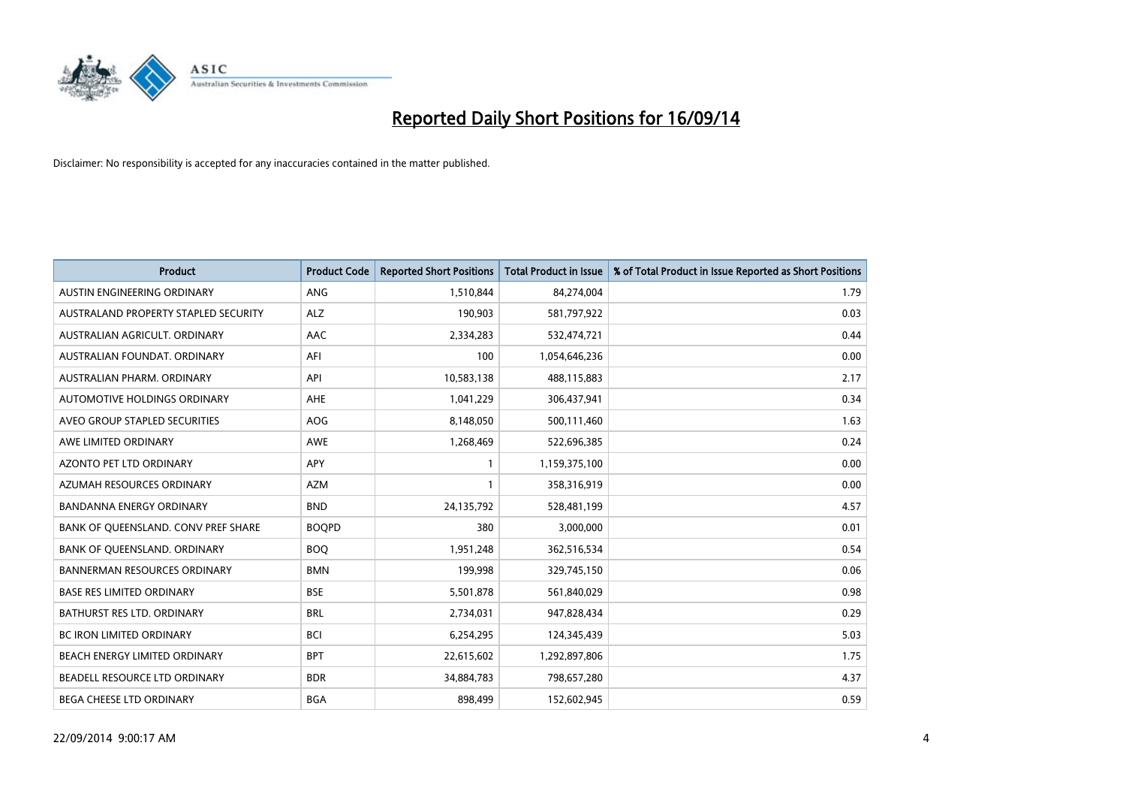

| <b>Product</b>                       | <b>Product Code</b> | <b>Reported Short Positions</b> | <b>Total Product in Issue</b> | % of Total Product in Issue Reported as Short Positions |
|--------------------------------------|---------------------|---------------------------------|-------------------------------|---------------------------------------------------------|
| AUSTIN ENGINEERING ORDINARY          | ANG                 | 1,510,844                       | 84,274,004                    | 1.79                                                    |
| AUSTRALAND PROPERTY STAPLED SECURITY | <b>ALZ</b>          | 190,903                         | 581,797,922                   | 0.03                                                    |
| AUSTRALIAN AGRICULT, ORDINARY        | AAC                 | 2,334,283                       | 532,474,721                   | 0.44                                                    |
| AUSTRALIAN FOUNDAT. ORDINARY         | AFI                 | 100                             | 1,054,646,236                 | 0.00                                                    |
| AUSTRALIAN PHARM, ORDINARY           | API                 | 10,583,138                      | 488,115,883                   | 2.17                                                    |
| AUTOMOTIVE HOLDINGS ORDINARY         | AHE                 | 1,041,229                       | 306,437,941                   | 0.34                                                    |
| AVEO GROUP STAPLED SECURITIES        | AOG                 | 8,148,050                       | 500,111,460                   | 1.63                                                    |
| AWE LIMITED ORDINARY                 | AWE                 | 1,268,469                       | 522,696,385                   | 0.24                                                    |
| <b>AZONTO PET LTD ORDINARY</b>       | APY                 | $\mathbf{1}$                    | 1,159,375,100                 | 0.00                                                    |
| AZUMAH RESOURCES ORDINARY            | <b>AZM</b>          | 1                               | 358,316,919                   | 0.00                                                    |
| BANDANNA ENERGY ORDINARY             | <b>BND</b>          | 24,135,792                      | 528,481,199                   | 4.57                                                    |
| BANK OF QUEENSLAND. CONV PREF SHARE  | <b>BOOPD</b>        | 380                             | 3,000,000                     | 0.01                                                    |
| BANK OF QUEENSLAND. ORDINARY         | <b>BOO</b>          | 1,951,248                       | 362,516,534                   | 0.54                                                    |
| <b>BANNERMAN RESOURCES ORDINARY</b>  | <b>BMN</b>          | 199,998                         | 329,745,150                   | 0.06                                                    |
| <b>BASE RES LIMITED ORDINARY</b>     | <b>BSE</b>          | 5,501,878                       | 561,840,029                   | 0.98                                                    |
| BATHURST RES LTD. ORDINARY           | <b>BRL</b>          | 2,734,031                       | 947,828,434                   | 0.29                                                    |
| BC IRON LIMITED ORDINARY             | <b>BCI</b>          | 6,254,295                       | 124,345,439                   | 5.03                                                    |
| BEACH ENERGY LIMITED ORDINARY        | <b>BPT</b>          | 22,615,602                      | 1,292,897,806                 | 1.75                                                    |
| BEADELL RESOURCE LTD ORDINARY        | <b>BDR</b>          | 34,884,783                      | 798,657,280                   | 4.37                                                    |
| BEGA CHEESE LTD ORDINARY             | <b>BGA</b>          | 898,499                         | 152,602,945                   | 0.59                                                    |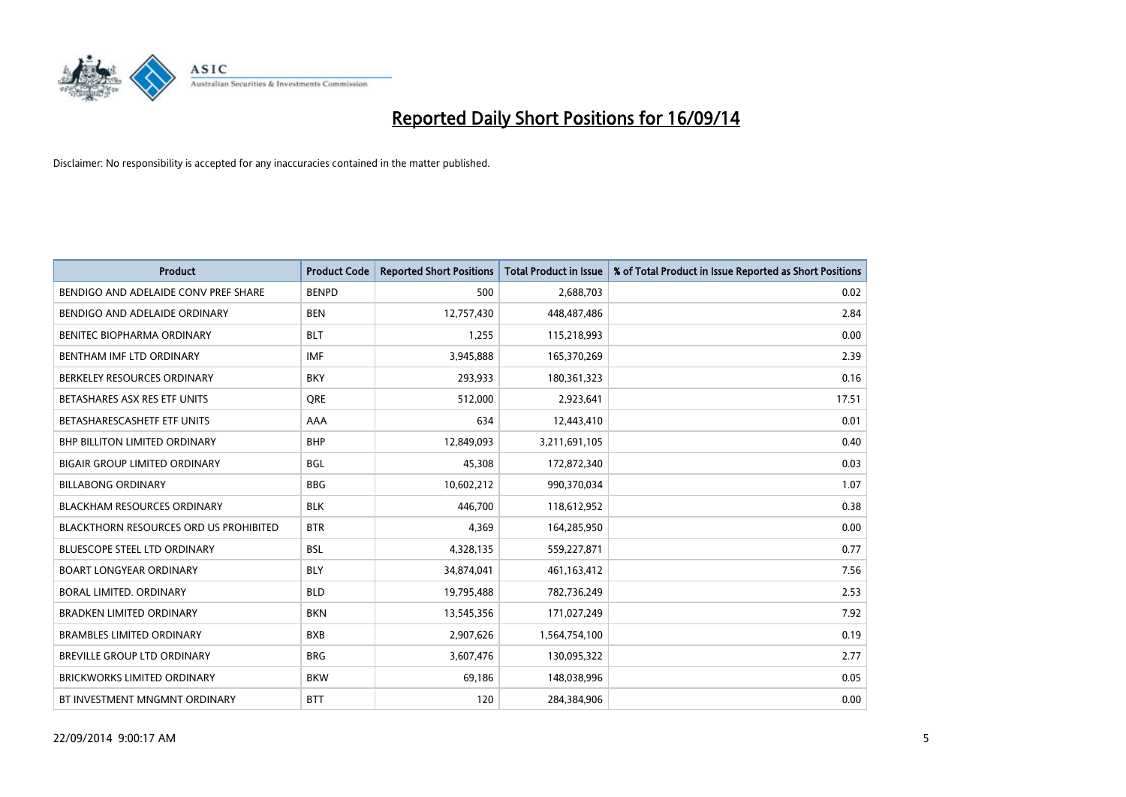

| <b>Product</b>                                | <b>Product Code</b> | <b>Reported Short Positions</b> | <b>Total Product in Issue</b> | % of Total Product in Issue Reported as Short Positions |
|-----------------------------------------------|---------------------|---------------------------------|-------------------------------|---------------------------------------------------------|
| BENDIGO AND ADELAIDE CONV PREF SHARE          | <b>BENPD</b>        | 500                             | 2,688,703                     | 0.02                                                    |
| BENDIGO AND ADELAIDE ORDINARY                 | <b>BEN</b>          | 12,757,430                      | 448,487,486                   | 2.84                                                    |
| BENITEC BIOPHARMA ORDINARY                    | <b>BLT</b>          | 1,255                           | 115,218,993                   | 0.00                                                    |
| BENTHAM IMF LTD ORDINARY                      | <b>IMF</b>          | 3,945,888                       | 165,370,269                   | 2.39                                                    |
| BERKELEY RESOURCES ORDINARY                   | <b>BKY</b>          | 293,933                         | 180,361,323                   | 0.16                                                    |
| BETASHARES ASX RES ETF UNITS                  | <b>ORE</b>          | 512,000                         | 2,923,641                     | 17.51                                                   |
| BETASHARESCASHETF ETF UNITS                   | AAA                 | 634                             | 12,443,410                    | 0.01                                                    |
| <b>BHP BILLITON LIMITED ORDINARY</b>          | <b>BHP</b>          | 12,849,093                      | 3,211,691,105                 | 0.40                                                    |
| <b>BIGAIR GROUP LIMITED ORDINARY</b>          | <b>BGL</b>          | 45,308                          | 172,872,340                   | 0.03                                                    |
| <b>BILLABONG ORDINARY</b>                     | <b>BBG</b>          | 10,602,212                      | 990,370,034                   | 1.07                                                    |
| <b>BLACKHAM RESOURCES ORDINARY</b>            | <b>BLK</b>          | 446,700                         | 118,612,952                   | 0.38                                                    |
| <b>BLACKTHORN RESOURCES ORD US PROHIBITED</b> | <b>BTR</b>          | 4,369                           | 164,285,950                   | 0.00                                                    |
| BLUESCOPE STEEL LTD ORDINARY                  | <b>BSL</b>          | 4,328,135                       | 559,227,871                   | 0.77                                                    |
| <b>BOART LONGYEAR ORDINARY</b>                | <b>BLY</b>          | 34,874,041                      | 461,163,412                   | 7.56                                                    |
| <b>BORAL LIMITED, ORDINARY</b>                | <b>BLD</b>          | 19,795,488                      | 782,736,249                   | 2.53                                                    |
| <b>BRADKEN LIMITED ORDINARY</b>               | <b>BKN</b>          | 13,545,356                      | 171,027,249                   | 7.92                                                    |
| <b>BRAMBLES LIMITED ORDINARY</b>              | <b>BXB</b>          | 2,907,626                       | 1,564,754,100                 | 0.19                                                    |
| BREVILLE GROUP LTD ORDINARY                   | <b>BRG</b>          | 3,607,476                       | 130,095,322                   | 2.77                                                    |
| <b>BRICKWORKS LIMITED ORDINARY</b>            | <b>BKW</b>          | 69,186                          | 148,038,996                   | 0.05                                                    |
| BT INVESTMENT MNGMNT ORDINARY                 | <b>BTT</b>          | 120                             | 284,384,906                   | 0.00                                                    |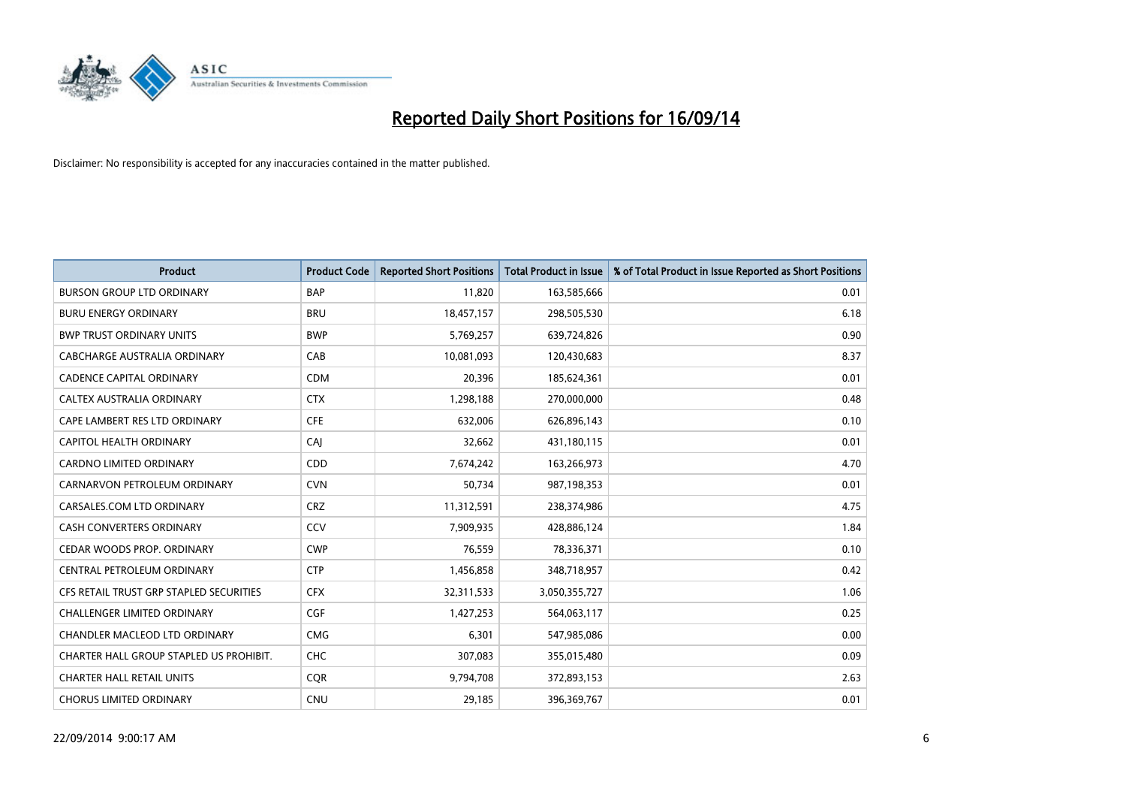

| <b>Product</b>                          | <b>Product Code</b> | <b>Reported Short Positions</b> | <b>Total Product in Issue</b> | % of Total Product in Issue Reported as Short Positions |
|-----------------------------------------|---------------------|---------------------------------|-------------------------------|---------------------------------------------------------|
| <b>BURSON GROUP LTD ORDINARY</b>        | <b>BAP</b>          | 11,820                          | 163,585,666                   | 0.01                                                    |
| <b>BURU ENERGY ORDINARY</b>             | <b>BRU</b>          | 18,457,157                      | 298,505,530                   | 6.18                                                    |
| <b>BWP TRUST ORDINARY UNITS</b>         | <b>BWP</b>          | 5,769,257                       | 639,724,826                   | 0.90                                                    |
| CABCHARGE AUSTRALIA ORDINARY            | CAB                 | 10,081,093                      | 120,430,683                   | 8.37                                                    |
| <b>CADENCE CAPITAL ORDINARY</b>         | <b>CDM</b>          | 20,396                          | 185,624,361                   | 0.01                                                    |
| CALTEX AUSTRALIA ORDINARY               | <b>CTX</b>          | 1,298,188                       | 270,000,000                   | 0.48                                                    |
| CAPE LAMBERT RES LTD ORDINARY           | <b>CFE</b>          | 632,006                         | 626,896,143                   | 0.10                                                    |
| CAPITOL HEALTH ORDINARY                 | CAJ                 | 32,662                          | 431,180,115                   | 0.01                                                    |
| CARDNO LIMITED ORDINARY                 | CDD                 | 7,674,242                       | 163,266,973                   | 4.70                                                    |
| CARNARVON PETROLEUM ORDINARY            | <b>CVN</b>          | 50,734                          | 987,198,353                   | 0.01                                                    |
| CARSALES.COM LTD ORDINARY               | <b>CRZ</b>          | 11,312,591                      | 238,374,986                   | 4.75                                                    |
| <b>CASH CONVERTERS ORDINARY</b>         | CCV                 | 7,909,935                       | 428,886,124                   | 1.84                                                    |
| CEDAR WOODS PROP. ORDINARY              | <b>CWP</b>          | 76,559                          | 78,336,371                    | 0.10                                                    |
| CENTRAL PETROLEUM ORDINARY              | <b>CTP</b>          | 1,456,858                       | 348,718,957                   | 0.42                                                    |
| CFS RETAIL TRUST GRP STAPLED SECURITIES | <b>CFX</b>          | 32,311,533                      | 3,050,355,727                 | 1.06                                                    |
| CHALLENGER LIMITED ORDINARY             | <b>CGF</b>          | 1,427,253                       | 564,063,117                   | 0.25                                                    |
| CHANDLER MACLEOD LTD ORDINARY           | <b>CMG</b>          | 6,301                           | 547,985,086                   | 0.00                                                    |
| CHARTER HALL GROUP STAPLED US PROHIBIT. | <b>CHC</b>          | 307,083                         | 355,015,480                   | 0.09                                                    |
| <b>CHARTER HALL RETAIL UNITS</b>        | <b>COR</b>          | 9,794,708                       | 372,893,153                   | 2.63                                                    |
| <b>CHORUS LIMITED ORDINARY</b>          | <b>CNU</b>          | 29,185                          | 396,369,767                   | 0.01                                                    |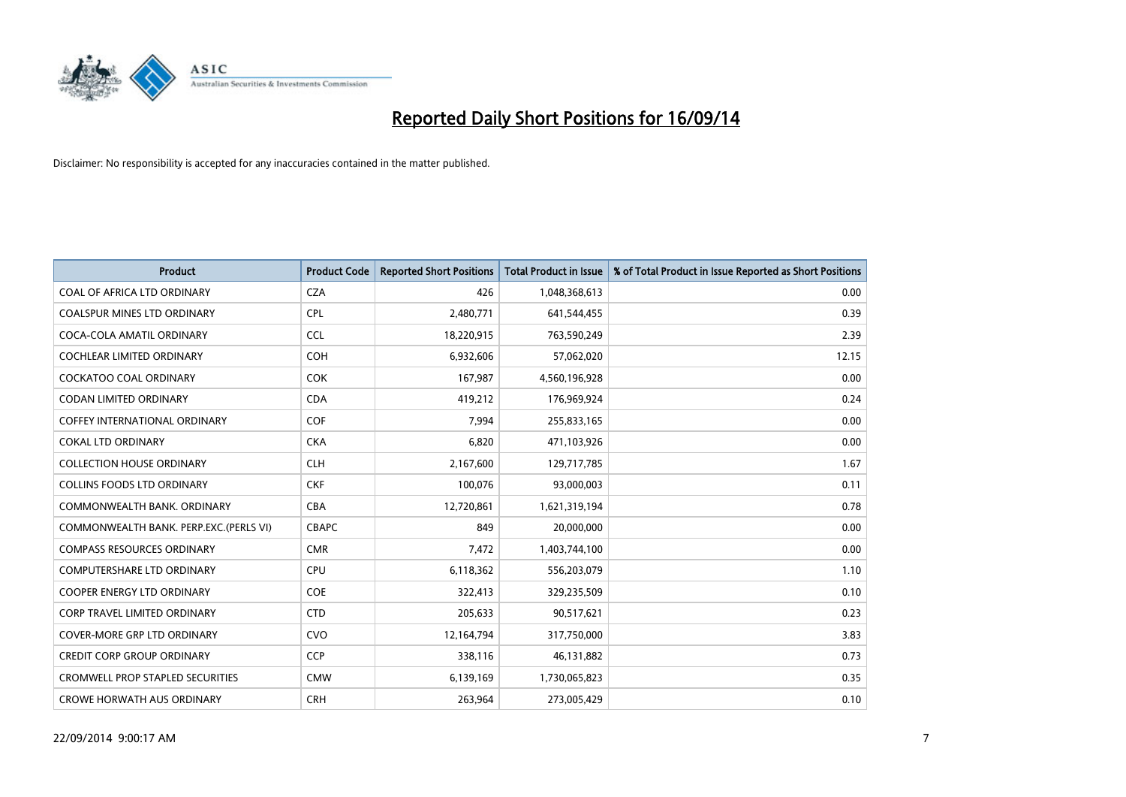

| <b>Product</b>                          | <b>Product Code</b> | <b>Reported Short Positions</b> | <b>Total Product in Issue</b> | % of Total Product in Issue Reported as Short Positions |
|-----------------------------------------|---------------------|---------------------------------|-------------------------------|---------------------------------------------------------|
| COAL OF AFRICA LTD ORDINARY             | <b>CZA</b>          | 426                             | 1,048,368,613                 | 0.00                                                    |
| COALSPUR MINES LTD ORDINARY             | <b>CPL</b>          | 2,480,771                       | 641,544,455                   | 0.39                                                    |
| COCA-COLA AMATIL ORDINARY               | <b>CCL</b>          | 18,220,915                      | 763,590,249                   | 2.39                                                    |
| COCHLEAR LIMITED ORDINARY               | <b>COH</b>          | 6,932,606                       | 57,062,020                    | 12.15                                                   |
| <b>COCKATOO COAL ORDINARY</b>           | <b>COK</b>          | 167,987                         | 4,560,196,928                 | 0.00                                                    |
| <b>CODAN LIMITED ORDINARY</b>           | <b>CDA</b>          | 419,212                         | 176,969,924                   | 0.24                                                    |
| COFFEY INTERNATIONAL ORDINARY           | <b>COF</b>          | 7,994                           | 255,833,165                   | 0.00                                                    |
| <b>COKAL LTD ORDINARY</b>               | <b>CKA</b>          | 6,820                           | 471,103,926                   | 0.00                                                    |
| <b>COLLECTION HOUSE ORDINARY</b>        | <b>CLH</b>          | 2,167,600                       | 129,717,785                   | 1.67                                                    |
| <b>COLLINS FOODS LTD ORDINARY</b>       | <b>CKF</b>          | 100,076                         | 93,000,003                    | 0.11                                                    |
| COMMONWEALTH BANK, ORDINARY             | <b>CBA</b>          | 12,720,861                      | 1,621,319,194                 | 0.78                                                    |
| COMMONWEALTH BANK, PERP.EXC. (PERLS VI) | <b>CBAPC</b>        | 849                             | 20,000,000                    | 0.00                                                    |
| <b>COMPASS RESOURCES ORDINARY</b>       | <b>CMR</b>          | 7,472                           | 1,403,744,100                 | 0.00                                                    |
| <b>COMPUTERSHARE LTD ORDINARY</b>       | <b>CPU</b>          | 6,118,362                       | 556,203,079                   | 1.10                                                    |
| <b>COOPER ENERGY LTD ORDINARY</b>       | <b>COE</b>          | 322,413                         | 329,235,509                   | 0.10                                                    |
| CORP TRAVEL LIMITED ORDINARY            | <b>CTD</b>          | 205,633                         | 90,517,621                    | 0.23                                                    |
| COVER-MORE GRP LTD ORDINARY             | <b>CVO</b>          | 12,164,794                      | 317,750,000                   | 3.83                                                    |
| <b>CREDIT CORP GROUP ORDINARY</b>       | <b>CCP</b>          | 338,116                         | 46,131,882                    | 0.73                                                    |
| <b>CROMWELL PROP STAPLED SECURITIES</b> | <b>CMW</b>          | 6,139,169                       | 1,730,065,823                 | 0.35                                                    |
| <b>CROWE HORWATH AUS ORDINARY</b>       | <b>CRH</b>          | 263,964                         | 273,005,429                   | 0.10                                                    |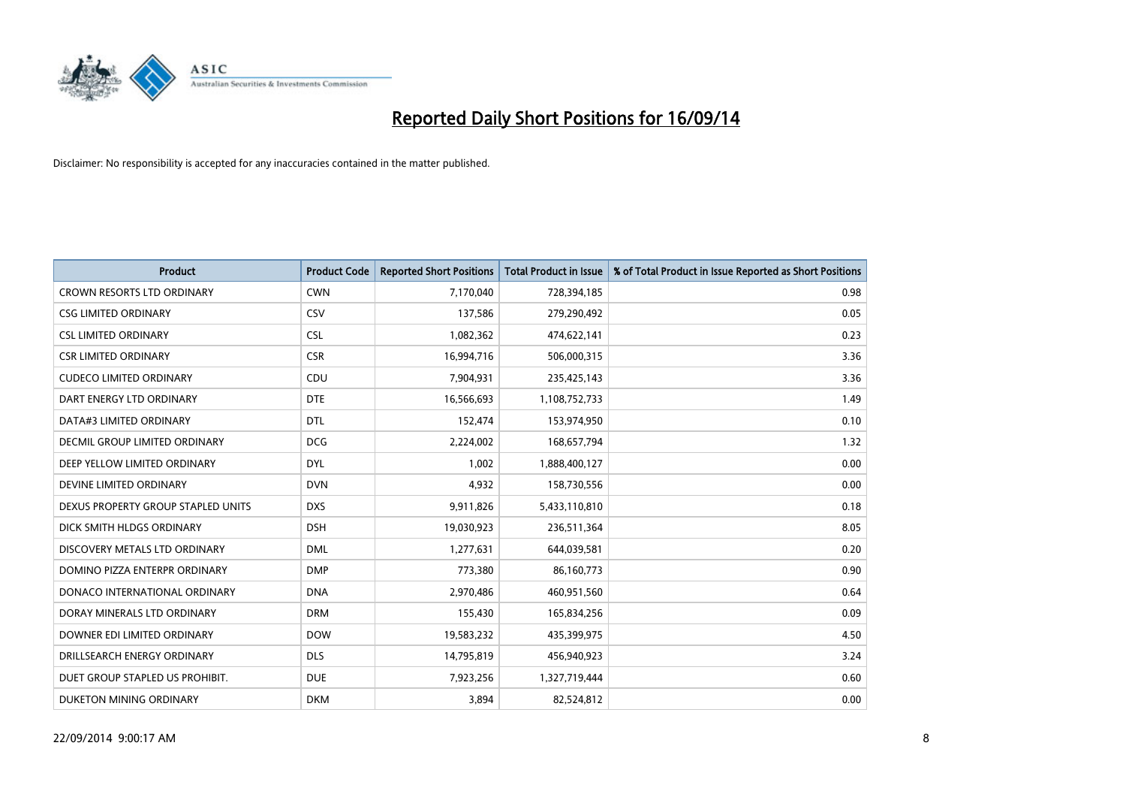

| <b>Product</b>                     | <b>Product Code</b> | <b>Reported Short Positions</b> | <b>Total Product in Issue</b> | % of Total Product in Issue Reported as Short Positions |
|------------------------------------|---------------------|---------------------------------|-------------------------------|---------------------------------------------------------|
| <b>CROWN RESORTS LTD ORDINARY</b>  | <b>CWN</b>          | 7,170,040                       | 728,394,185                   | 0.98                                                    |
| <b>CSG LIMITED ORDINARY</b>        | CSV                 | 137,586                         | 279,290,492                   | 0.05                                                    |
| <b>CSL LIMITED ORDINARY</b>        | <b>CSL</b>          | 1,082,362                       | 474,622,141                   | 0.23                                                    |
| <b>CSR LIMITED ORDINARY</b>        | <b>CSR</b>          | 16,994,716                      | 506,000,315                   | 3.36                                                    |
| <b>CUDECO LIMITED ORDINARY</b>     | CDU                 | 7,904,931                       | 235,425,143                   | 3.36                                                    |
| DART ENERGY LTD ORDINARY           | <b>DTE</b>          | 16,566,693                      | 1,108,752,733                 | 1.49                                                    |
| DATA#3 LIMITED ORDINARY            | <b>DTL</b>          | 152,474                         | 153,974,950                   | 0.10                                                    |
| DECMIL GROUP LIMITED ORDINARY      | <b>DCG</b>          | 2,224,002                       | 168,657,794                   | 1.32                                                    |
| DEEP YELLOW LIMITED ORDINARY       | <b>DYL</b>          | 1,002                           | 1,888,400,127                 | 0.00                                                    |
| DEVINE LIMITED ORDINARY            | <b>DVN</b>          | 4,932                           | 158,730,556                   | 0.00                                                    |
| DEXUS PROPERTY GROUP STAPLED UNITS | <b>DXS</b>          | 9,911,826                       | 5,433,110,810                 | 0.18                                                    |
| DICK SMITH HLDGS ORDINARY          | <b>DSH</b>          | 19,030,923                      | 236,511,364                   | 8.05                                                    |
| DISCOVERY METALS LTD ORDINARY      | <b>DML</b>          | 1,277,631                       | 644,039,581                   | 0.20                                                    |
| DOMINO PIZZA ENTERPR ORDINARY      | <b>DMP</b>          | 773,380                         | 86,160,773                    | 0.90                                                    |
| DONACO INTERNATIONAL ORDINARY      | <b>DNA</b>          | 2,970,486                       | 460,951,560                   | 0.64                                                    |
| DORAY MINERALS LTD ORDINARY        | <b>DRM</b>          | 155,430                         | 165,834,256                   | 0.09                                                    |
| DOWNER EDI LIMITED ORDINARY        | <b>DOW</b>          | 19,583,232                      | 435,399,975                   | 4.50                                                    |
| DRILLSEARCH ENERGY ORDINARY        | <b>DLS</b>          | 14,795,819                      | 456,940,923                   | 3.24                                                    |
| DUET GROUP STAPLED US PROHIBIT.    | <b>DUE</b>          | 7,923,256                       | 1,327,719,444                 | 0.60                                                    |
| DUKETON MINING ORDINARY            | <b>DKM</b>          | 3,894                           | 82,524,812                    | 0.00                                                    |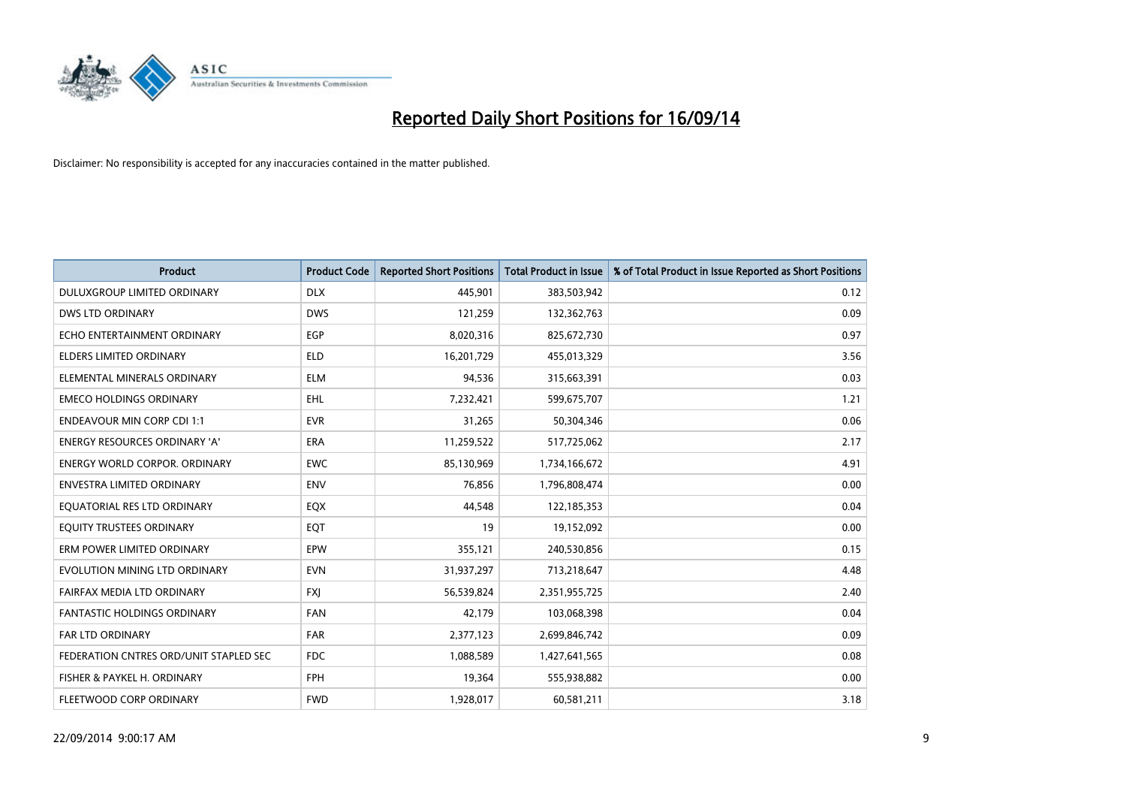

| <b>Product</b>                         | <b>Product Code</b> | <b>Reported Short Positions</b> | <b>Total Product in Issue</b> | % of Total Product in Issue Reported as Short Positions |
|----------------------------------------|---------------------|---------------------------------|-------------------------------|---------------------------------------------------------|
| DULUXGROUP LIMITED ORDINARY            | <b>DLX</b>          | 445,901                         | 383,503,942                   | 0.12                                                    |
| DWS LTD ORDINARY                       | <b>DWS</b>          | 121,259                         | 132,362,763                   | 0.09                                                    |
| ECHO ENTERTAINMENT ORDINARY            | <b>EGP</b>          | 8,020,316                       | 825,672,730                   | 0.97                                                    |
| <b>ELDERS LIMITED ORDINARY</b>         | <b>ELD</b>          | 16,201,729                      | 455,013,329                   | 3.56                                                    |
| ELEMENTAL MINERALS ORDINARY            | <b>ELM</b>          | 94,536                          | 315,663,391                   | 0.03                                                    |
| <b>EMECO HOLDINGS ORDINARY</b>         | <b>EHL</b>          | 7,232,421                       | 599,675,707                   | 1.21                                                    |
| <b>ENDEAVOUR MIN CORP CDI 1:1</b>      | <b>EVR</b>          | 31,265                          | 50,304,346                    | 0.06                                                    |
| ENERGY RESOURCES ORDINARY 'A'          | <b>ERA</b>          | 11,259,522                      | 517,725,062                   | 2.17                                                    |
| <b>ENERGY WORLD CORPOR, ORDINARY</b>   | <b>EWC</b>          | 85,130,969                      | 1,734,166,672                 | 4.91                                                    |
| <b>ENVESTRA LIMITED ORDINARY</b>       | <b>ENV</b>          | 76,856                          | 1,796,808,474                 | 0.00                                                    |
| EQUATORIAL RES LTD ORDINARY            | EQX                 | 44,548                          | 122,185,353                   | 0.04                                                    |
| EQUITY TRUSTEES ORDINARY               | EQT                 | 19                              | 19,152,092                    | 0.00                                                    |
| ERM POWER LIMITED ORDINARY             | <b>EPW</b>          | 355,121                         | 240,530,856                   | 0.15                                                    |
| EVOLUTION MINING LTD ORDINARY          | <b>EVN</b>          | 31,937,297                      | 713,218,647                   | 4.48                                                    |
| FAIRFAX MEDIA LTD ORDINARY             | <b>FXJ</b>          | 56,539,824                      | 2,351,955,725                 | 2.40                                                    |
| FANTASTIC HOLDINGS ORDINARY            | <b>FAN</b>          | 42,179                          | 103,068,398                   | 0.04                                                    |
| FAR LTD ORDINARY                       | FAR                 | 2,377,123                       | 2,699,846,742                 | 0.09                                                    |
| FEDERATION CNTRES ORD/UNIT STAPLED SEC | FDC                 | 1,088,589                       | 1,427,641,565                 | 0.08                                                    |
| FISHER & PAYKEL H. ORDINARY            | <b>FPH</b>          | 19,364                          | 555,938,882                   | 0.00                                                    |
| FLEETWOOD CORP ORDINARY                | <b>FWD</b>          | 1,928,017                       | 60,581,211                    | 3.18                                                    |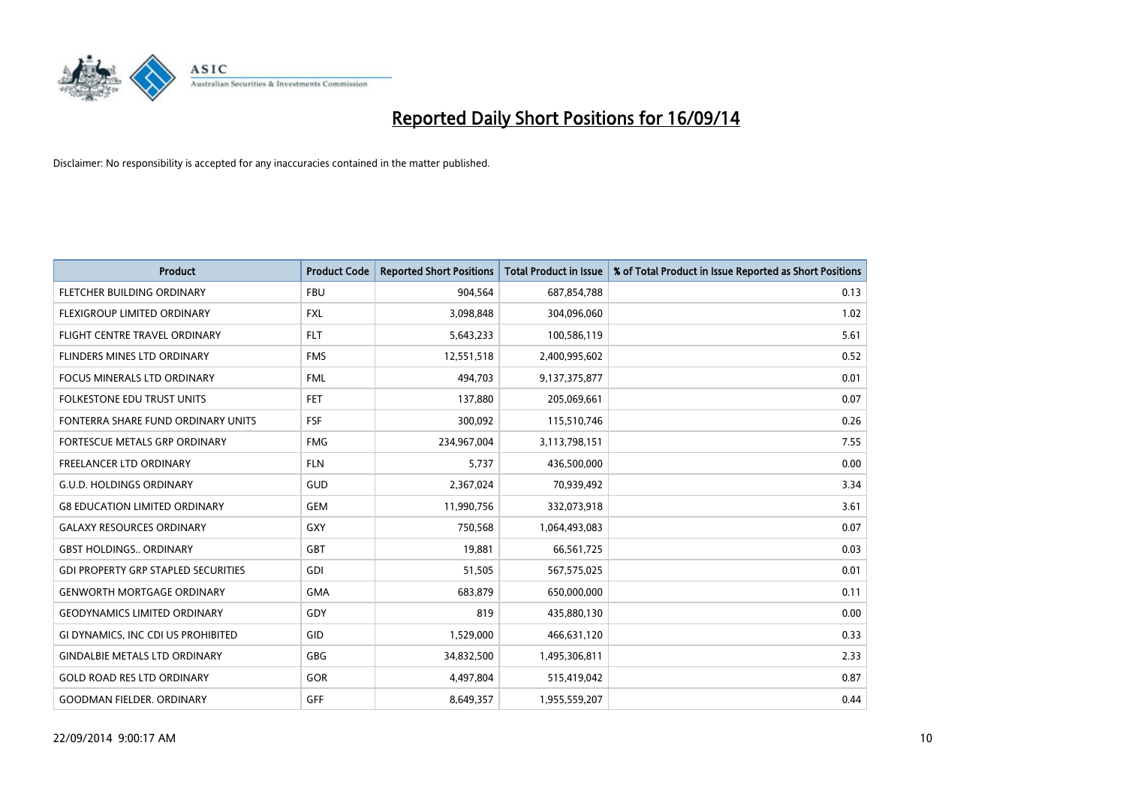

| <b>Product</b>                             | <b>Product Code</b> | <b>Reported Short Positions</b> | <b>Total Product in Issue</b> | % of Total Product in Issue Reported as Short Positions |
|--------------------------------------------|---------------------|---------------------------------|-------------------------------|---------------------------------------------------------|
| FLETCHER BUILDING ORDINARY                 | <b>FBU</b>          | 904,564                         | 687,854,788                   | 0.13                                                    |
| FLEXIGROUP LIMITED ORDINARY                | FXL                 | 3,098,848                       | 304,096,060                   | 1.02                                                    |
| FLIGHT CENTRE TRAVEL ORDINARY              | <b>FLT</b>          | 5,643,233                       | 100,586,119                   | 5.61                                                    |
| FLINDERS MINES LTD ORDINARY                | <b>FMS</b>          | 12,551,518                      | 2,400,995,602                 | 0.52                                                    |
| <b>FOCUS MINERALS LTD ORDINARY</b>         | <b>FML</b>          | 494,703                         | 9,137,375,877                 | 0.01                                                    |
| <b>FOLKESTONE EDU TRUST UNITS</b>          | <b>FET</b>          | 137,880                         | 205,069,661                   | 0.07                                                    |
| FONTERRA SHARE FUND ORDINARY UNITS         | <b>FSF</b>          | 300,092                         | 115,510,746                   | 0.26                                                    |
| FORTESCUE METALS GRP ORDINARY              | <b>FMG</b>          | 234,967,004                     | 3,113,798,151                 | 7.55                                                    |
| <b>FREELANCER LTD ORDINARY</b>             | <b>FLN</b>          | 5,737                           | 436,500,000                   | 0.00                                                    |
| <b>G.U.D. HOLDINGS ORDINARY</b>            | <b>GUD</b>          | 2,367,024                       | 70,939,492                    | 3.34                                                    |
| <b>G8 EDUCATION LIMITED ORDINARY</b>       | GEM                 | 11,990,756                      | 332,073,918                   | 3.61                                                    |
| <b>GALAXY RESOURCES ORDINARY</b>           | <b>GXY</b>          | 750,568                         | 1,064,493,083                 | 0.07                                                    |
| <b>GBST HOLDINGS ORDINARY</b>              | GBT                 | 19,881                          | 66,561,725                    | 0.03                                                    |
| <b>GDI PROPERTY GRP STAPLED SECURITIES</b> | GDI                 | 51,505                          | 567,575,025                   | 0.01                                                    |
| <b>GENWORTH MORTGAGE ORDINARY</b>          | <b>GMA</b>          | 683,879                         | 650,000,000                   | 0.11                                                    |
| <b>GEODYNAMICS LIMITED ORDINARY</b>        | GDY                 | 819                             | 435,880,130                   | 0.00                                                    |
| GI DYNAMICS, INC CDI US PROHIBITED         | GID                 | 1,529,000                       | 466,631,120                   | 0.33                                                    |
| <b>GINDALBIE METALS LTD ORDINARY</b>       | <b>GBG</b>          | 34,832,500                      | 1,495,306,811                 | 2.33                                                    |
| <b>GOLD ROAD RES LTD ORDINARY</b>          | GOR                 | 4,497,804                       | 515,419,042                   | 0.87                                                    |
| <b>GOODMAN FIELDER. ORDINARY</b>           | GFF                 | 8,649,357                       | 1,955,559,207                 | 0.44                                                    |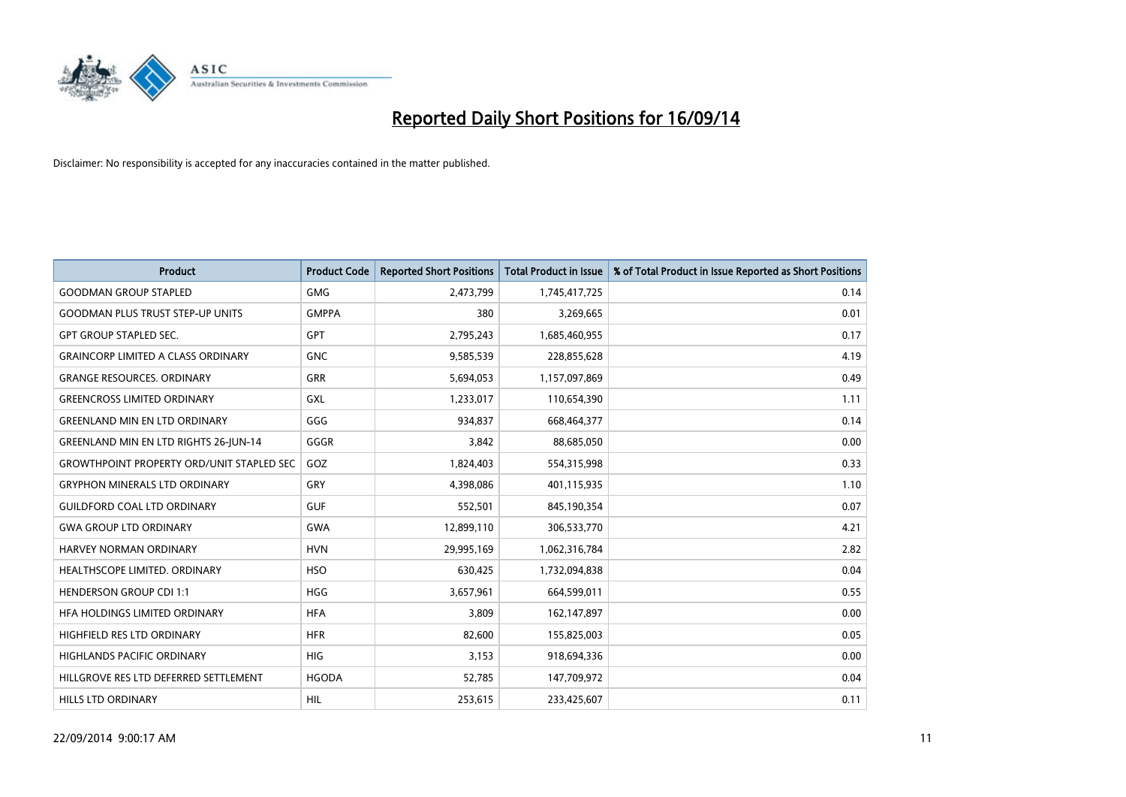

| <b>Product</b>                                   | <b>Product Code</b> | <b>Reported Short Positions</b> | <b>Total Product in Issue</b> | % of Total Product in Issue Reported as Short Positions |
|--------------------------------------------------|---------------------|---------------------------------|-------------------------------|---------------------------------------------------------|
| <b>GOODMAN GROUP STAPLED</b>                     | <b>GMG</b>          | 2,473,799                       | 1,745,417,725                 | 0.14                                                    |
| <b>GOODMAN PLUS TRUST STEP-UP UNITS</b>          | <b>GMPPA</b>        | 380                             | 3,269,665                     | 0.01                                                    |
| <b>GPT GROUP STAPLED SEC.</b>                    | <b>GPT</b>          | 2,795,243                       | 1,685,460,955                 | 0.17                                                    |
| <b>GRAINCORP LIMITED A CLASS ORDINARY</b>        | <b>GNC</b>          | 9,585,539                       | 228,855,628                   | 4.19                                                    |
| <b>GRANGE RESOURCES, ORDINARY</b>                | GRR                 | 5,694,053                       | 1,157,097,869                 | 0.49                                                    |
| <b>GREENCROSS LIMITED ORDINARY</b>               | <b>GXL</b>          | 1,233,017                       | 110,654,390                   | 1.11                                                    |
| <b>GREENLAND MIN EN LTD ORDINARY</b>             | GGG                 | 934,837                         | 668,464,377                   | 0.14                                                    |
| <b>GREENLAND MIN EN LTD RIGHTS 26-JUN-14</b>     | GGGR                | 3,842                           | 88,685,050                    | 0.00                                                    |
| <b>GROWTHPOINT PROPERTY ORD/UNIT STAPLED SEC</b> | GOZ                 | 1,824,403                       | 554,315,998                   | 0.33                                                    |
| <b>GRYPHON MINERALS LTD ORDINARY</b>             | GRY                 | 4,398,086                       | 401,115,935                   | 1.10                                                    |
| <b>GUILDFORD COAL LTD ORDINARY</b>               | <b>GUF</b>          | 552,501                         | 845,190,354                   | 0.07                                                    |
| <b>GWA GROUP LTD ORDINARY</b>                    | <b>GWA</b>          | 12,899,110                      | 306,533,770                   | 4.21                                                    |
| HARVEY NORMAN ORDINARY                           | <b>HVN</b>          | 29,995,169                      | 1,062,316,784                 | 2.82                                                    |
| HEALTHSCOPE LIMITED. ORDINARY                    | <b>HSO</b>          | 630,425                         | 1,732,094,838                 | 0.04                                                    |
| <b>HENDERSON GROUP CDI 1:1</b>                   | <b>HGG</b>          | 3,657,961                       | 664,599,011                   | 0.55                                                    |
| HFA HOLDINGS LIMITED ORDINARY                    | <b>HFA</b>          | 3,809                           | 162,147,897                   | 0.00                                                    |
| HIGHFIELD RES LTD ORDINARY                       | <b>HFR</b>          | 82,600                          | 155,825,003                   | 0.05                                                    |
| <b>HIGHLANDS PACIFIC ORDINARY</b>                | <b>HIG</b>          | 3,153                           | 918,694,336                   | 0.00                                                    |
| HILLGROVE RES LTD DEFERRED SETTLEMENT            | <b>HGODA</b>        | 52,785                          | 147,709,972                   | 0.04                                                    |
| <b>HILLS LTD ORDINARY</b>                        | <b>HIL</b>          | 253,615                         | 233,425,607                   | 0.11                                                    |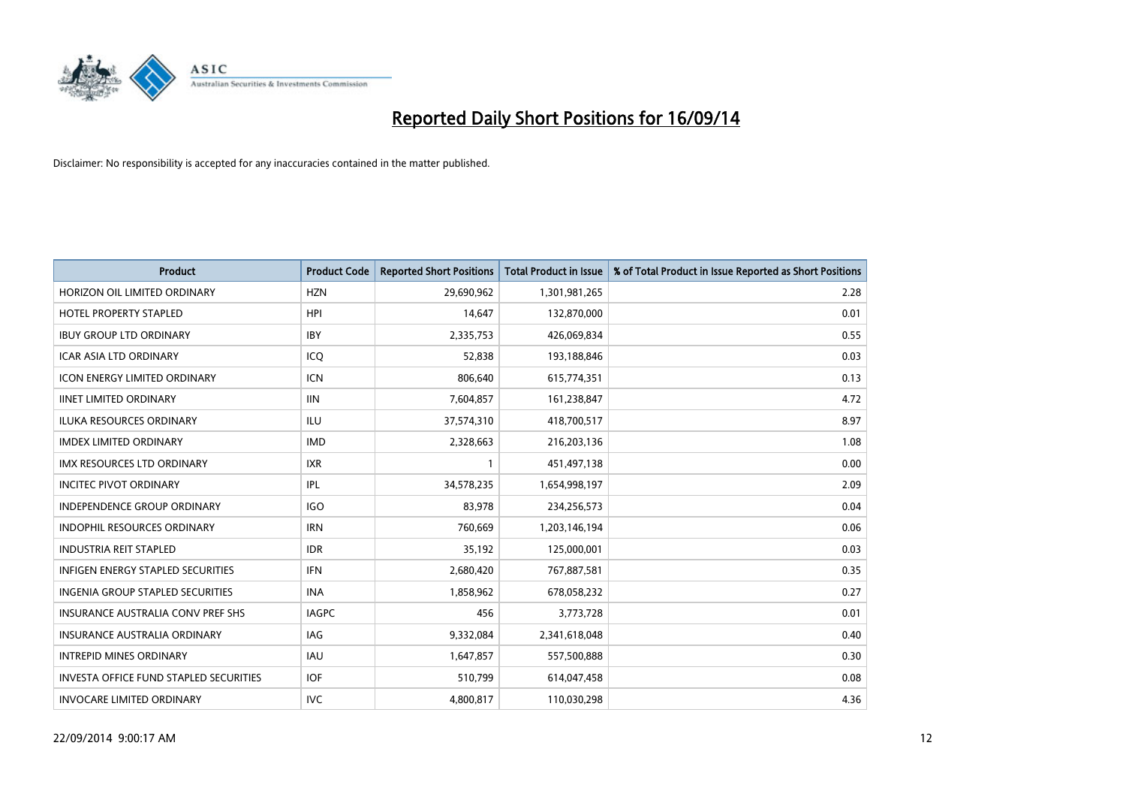

| <b>Product</b>                                | <b>Product Code</b> | <b>Reported Short Positions</b> | <b>Total Product in Issue</b> | % of Total Product in Issue Reported as Short Positions |
|-----------------------------------------------|---------------------|---------------------------------|-------------------------------|---------------------------------------------------------|
| HORIZON OIL LIMITED ORDINARY                  | <b>HZN</b>          | 29,690,962                      | 1,301,981,265                 | 2.28                                                    |
| HOTEL PROPERTY STAPLED                        | HPI                 | 14,647                          | 132,870,000                   | 0.01                                                    |
| <b>IBUY GROUP LTD ORDINARY</b>                | <b>IBY</b>          | 2,335,753                       | 426,069,834                   | 0.55                                                    |
| ICAR ASIA LTD ORDINARY                        | ICQ                 | 52,838                          | 193,188,846                   | 0.03                                                    |
| <b>ICON ENERGY LIMITED ORDINARY</b>           | <b>ICN</b>          | 806,640                         | 615,774,351                   | 0.13                                                    |
| <b>IINET LIMITED ORDINARY</b>                 | <b>IIN</b>          | 7,604,857                       | 161,238,847                   | 4.72                                                    |
| <b>ILUKA RESOURCES ORDINARY</b>               | ILU                 | 37,574,310                      | 418,700,517                   | 8.97                                                    |
| <b>IMDEX LIMITED ORDINARY</b>                 | <b>IMD</b>          | 2,328,663                       | 216,203,136                   | 1.08                                                    |
| <b>IMX RESOURCES LTD ORDINARY</b>             | <b>IXR</b>          | $\mathbf{1}$                    | 451,497,138                   | 0.00                                                    |
| <b>INCITEC PIVOT ORDINARY</b>                 | IPL                 | 34,578,235                      | 1,654,998,197                 | 2.09                                                    |
| INDEPENDENCE GROUP ORDINARY                   | <b>IGO</b>          | 83,978                          | 234,256,573                   | 0.04                                                    |
| <b>INDOPHIL RESOURCES ORDINARY</b>            | <b>IRN</b>          | 760,669                         | 1,203,146,194                 | 0.06                                                    |
| <b>INDUSTRIA REIT STAPLED</b>                 | <b>IDR</b>          | 35,192                          | 125,000,001                   | 0.03                                                    |
| <b>INFIGEN ENERGY STAPLED SECURITIES</b>      | <b>IFN</b>          | 2,680,420                       | 767,887,581                   | 0.35                                                    |
| <b>INGENIA GROUP STAPLED SECURITIES</b>       | <b>INA</b>          | 1,858,962                       | 678,058,232                   | 0.27                                                    |
| INSURANCE AUSTRALIA CONV PREF SHS             | <b>IAGPC</b>        | 456                             | 3,773,728                     | 0.01                                                    |
| INSURANCE AUSTRALIA ORDINARY                  | IAG                 | 9,332,084                       | 2,341,618,048                 | 0.40                                                    |
| <b>INTREPID MINES ORDINARY</b>                | <b>IAU</b>          | 1,647,857                       | 557,500,888                   | 0.30                                                    |
| <b>INVESTA OFFICE FUND STAPLED SECURITIES</b> | <b>IOF</b>          | 510,799                         | 614,047,458                   | 0.08                                                    |
| <b>INVOCARE LIMITED ORDINARY</b>              | <b>IVC</b>          | 4,800,817                       | 110,030,298                   | 4.36                                                    |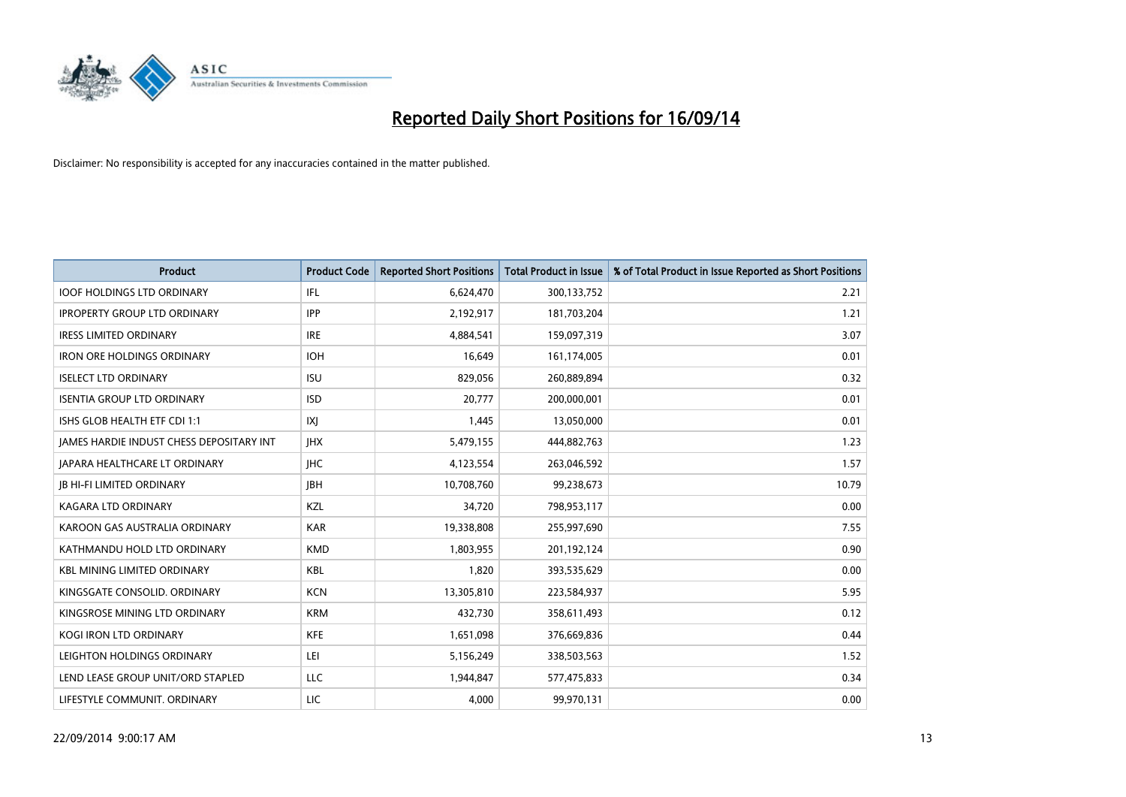

| <b>Product</b>                           | <b>Product Code</b> | <b>Reported Short Positions</b> | Total Product in Issue | % of Total Product in Issue Reported as Short Positions |
|------------------------------------------|---------------------|---------------------------------|------------------------|---------------------------------------------------------|
| <b>IOOF HOLDINGS LTD ORDINARY</b>        | IFL                 | 6,624,470                       | 300,133,752            | 2.21                                                    |
| <b>IPROPERTY GROUP LTD ORDINARY</b>      | <b>IPP</b>          | 2,192,917                       | 181,703,204            | 1.21                                                    |
| <b>IRESS LIMITED ORDINARY</b>            | <b>IRE</b>          | 4,884,541                       | 159,097,319            | 3.07                                                    |
| <b>IRON ORE HOLDINGS ORDINARY</b>        | <b>IOH</b>          | 16,649                          | 161,174,005            | 0.01                                                    |
| <b>ISELECT LTD ORDINARY</b>              | <b>ISU</b>          | 829,056                         | 260,889,894            | 0.32                                                    |
| <b>ISENTIA GROUP LTD ORDINARY</b>        | <b>ISD</b>          | 20,777                          | 200,000,001            | 0.01                                                    |
| ISHS GLOB HEALTH ETF CDI 1:1             | IXJ                 | 1,445                           | 13,050,000             | 0.01                                                    |
| JAMES HARDIE INDUST CHESS DEPOSITARY INT | <b>IHX</b>          | 5,479,155                       | 444,882,763            | 1.23                                                    |
| <b>JAPARA HEALTHCARE LT ORDINARY</b>     | <b>IHC</b>          | 4,123,554                       | 263,046,592            | 1.57                                                    |
| <b>JB HI-FI LIMITED ORDINARY</b>         | <b>IBH</b>          | 10,708,760                      | 99,238,673             | 10.79                                                   |
| KAGARA LTD ORDINARY                      | KZL                 | 34,720                          | 798,953,117            | 0.00                                                    |
| KAROON GAS AUSTRALIA ORDINARY            | <b>KAR</b>          | 19,338,808                      | 255,997,690            | 7.55                                                    |
| KATHMANDU HOLD LTD ORDINARY              | <b>KMD</b>          | 1,803,955                       | 201,192,124            | 0.90                                                    |
| <b>KBL MINING LIMITED ORDINARY</b>       | <b>KBL</b>          | 1,820                           | 393,535,629            | 0.00                                                    |
| KINGSGATE CONSOLID. ORDINARY             | <b>KCN</b>          | 13,305,810                      | 223,584,937            | 5.95                                                    |
| KINGSROSE MINING LTD ORDINARY            | <b>KRM</b>          | 432,730                         | 358,611,493            | 0.12                                                    |
| KOGI IRON LTD ORDINARY                   | <b>KFE</b>          | 1,651,098                       | 376,669,836            | 0.44                                                    |
| LEIGHTON HOLDINGS ORDINARY               | LEI                 | 5,156,249                       | 338,503,563            | 1.52                                                    |
| LEND LEASE GROUP UNIT/ORD STAPLED        | <b>LLC</b>          | 1,944,847                       | 577,475,833            | 0.34                                                    |
| LIFESTYLE COMMUNIT. ORDINARY             | LIC                 | 4,000                           | 99,970,131             | 0.00                                                    |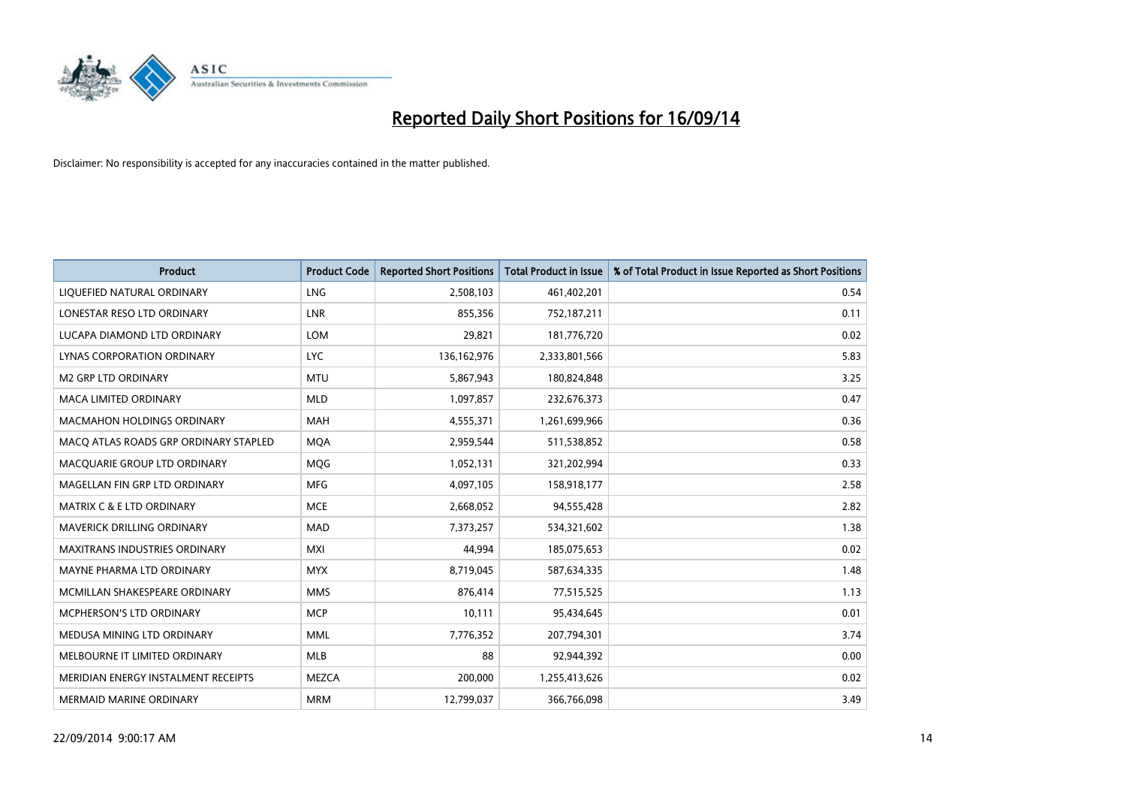

| <b>Product</b>                        | <b>Product Code</b> | <b>Reported Short Positions</b> | <b>Total Product in Issue</b> | % of Total Product in Issue Reported as Short Positions |
|---------------------------------------|---------------------|---------------------------------|-------------------------------|---------------------------------------------------------|
| LIQUEFIED NATURAL ORDINARY            | <b>LNG</b>          | 2,508,103                       | 461,402,201                   | 0.54                                                    |
| LONESTAR RESO LTD ORDINARY            | LNR                 | 855,356                         | 752,187,211                   | 0.11                                                    |
| LUCAPA DIAMOND LTD ORDINARY           | <b>LOM</b>          | 29,821                          | 181,776,720                   | 0.02                                                    |
| LYNAS CORPORATION ORDINARY            | <b>LYC</b>          | 136, 162, 976                   | 2,333,801,566                 | 5.83                                                    |
| <b>M2 GRP LTD ORDINARY</b>            | <b>MTU</b>          | 5,867,943                       | 180,824,848                   | 3.25                                                    |
| <b>MACA LIMITED ORDINARY</b>          | <b>MLD</b>          | 1,097,857                       | 232,676,373                   | 0.47                                                    |
| <b>MACMAHON HOLDINGS ORDINARY</b>     | <b>MAH</b>          | 4,555,371                       | 1,261,699,966                 | 0.36                                                    |
| MACO ATLAS ROADS GRP ORDINARY STAPLED | <b>MOA</b>          | 2,959,544                       | 511,538,852                   | 0.58                                                    |
| MACQUARIE GROUP LTD ORDINARY          | <b>MOG</b>          | 1,052,131                       | 321,202,994                   | 0.33                                                    |
| MAGELLAN FIN GRP LTD ORDINARY         | <b>MFG</b>          | 4,097,105                       | 158,918,177                   | 2.58                                                    |
| <b>MATRIX C &amp; E LTD ORDINARY</b>  | <b>MCE</b>          | 2,668,052                       | 94,555,428                    | 2.82                                                    |
| <b>MAVERICK DRILLING ORDINARY</b>     | <b>MAD</b>          | 7,373,257                       | 534,321,602                   | 1.38                                                    |
| <b>MAXITRANS INDUSTRIES ORDINARY</b>  | <b>MXI</b>          | 44,994                          | 185,075,653                   | 0.02                                                    |
| MAYNE PHARMA LTD ORDINARY             | <b>MYX</b>          | 8,719,045                       | 587,634,335                   | 1.48                                                    |
| MCMILLAN SHAKESPEARE ORDINARY         | <b>MMS</b>          | 876,414                         | 77,515,525                    | 1.13                                                    |
| MCPHERSON'S LTD ORDINARY              | <b>MCP</b>          | 10,111                          | 95,434,645                    | 0.01                                                    |
| MEDUSA MINING LTD ORDINARY            | <b>MML</b>          | 7,776,352                       | 207,794,301                   | 3.74                                                    |
| MELBOURNE IT LIMITED ORDINARY         | <b>MLB</b>          | 88                              | 92,944,392                    | 0.00                                                    |
| MERIDIAN ENERGY INSTALMENT RECEIPTS   | MEZCA               | 200,000                         | 1,255,413,626                 | 0.02                                                    |
| <b>MERMAID MARINE ORDINARY</b>        | <b>MRM</b>          | 12,799,037                      | 366,766,098                   | 3.49                                                    |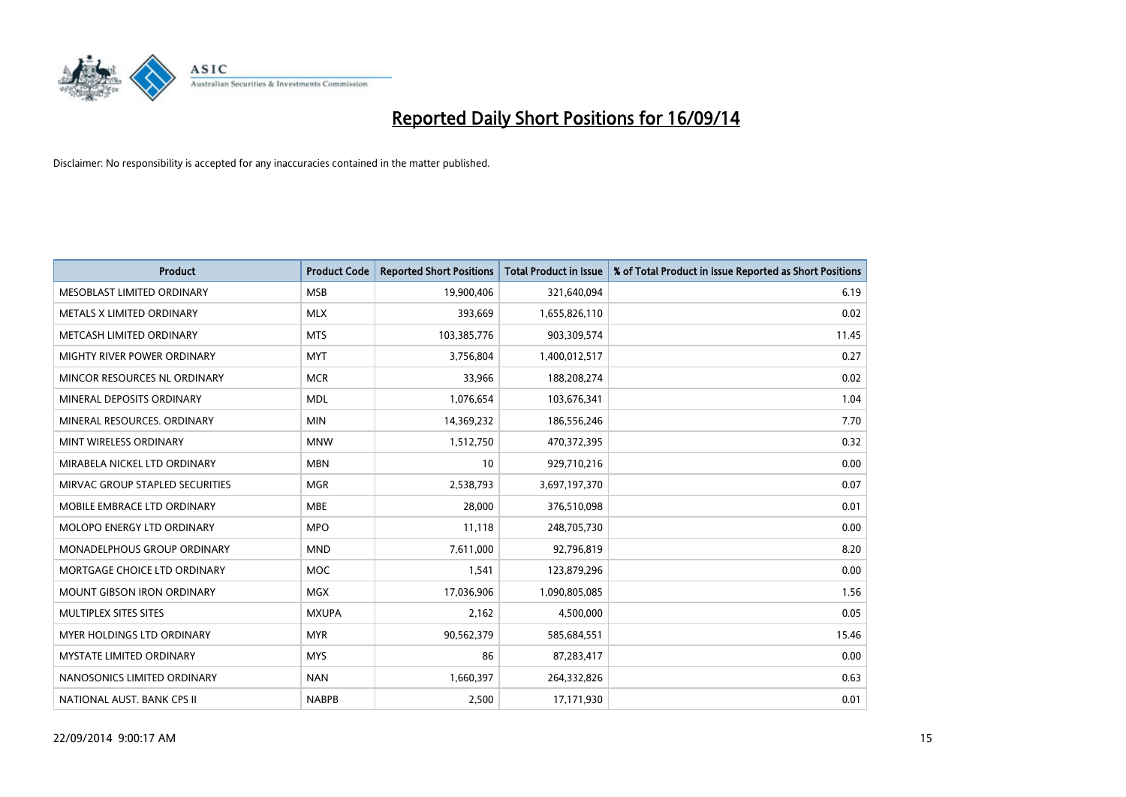

| <b>Product</b>                    | <b>Product Code</b> | <b>Reported Short Positions</b> | <b>Total Product in Issue</b> | % of Total Product in Issue Reported as Short Positions |
|-----------------------------------|---------------------|---------------------------------|-------------------------------|---------------------------------------------------------|
| MESOBLAST LIMITED ORDINARY        | <b>MSB</b>          | 19,900,406                      | 321,640,094                   | 6.19                                                    |
| METALS X LIMITED ORDINARY         | <b>MLX</b>          | 393,669                         | 1,655,826,110                 | 0.02                                                    |
| METCASH LIMITED ORDINARY          | <b>MTS</b>          | 103,385,776                     | 903,309,574                   | 11.45                                                   |
| MIGHTY RIVER POWER ORDINARY       | <b>MYT</b>          | 3,756,804                       | 1,400,012,517                 | 0.27                                                    |
| MINCOR RESOURCES NL ORDINARY      | <b>MCR</b>          | 33,966                          | 188,208,274                   | 0.02                                                    |
| MINERAL DEPOSITS ORDINARY         | <b>MDL</b>          | 1,076,654                       | 103,676,341                   | 1.04                                                    |
| MINERAL RESOURCES, ORDINARY       | <b>MIN</b>          | 14,369,232                      | 186,556,246                   | 7.70                                                    |
| MINT WIRELESS ORDINARY            | <b>MNW</b>          | 1,512,750                       | 470,372,395                   | 0.32                                                    |
| MIRABELA NICKEL LTD ORDINARY      | <b>MBN</b>          | 10                              | 929,710,216                   | 0.00                                                    |
| MIRVAC GROUP STAPLED SECURITIES   | <b>MGR</b>          | 2,538,793                       | 3,697,197,370                 | 0.07                                                    |
| MOBILE EMBRACE LTD ORDINARY       | <b>MBE</b>          | 28,000                          | 376,510,098                   | 0.01                                                    |
| MOLOPO ENERGY LTD ORDINARY        | <b>MPO</b>          | 11,118                          | 248,705,730                   | 0.00                                                    |
| MONADELPHOUS GROUP ORDINARY       | <b>MND</b>          | 7,611,000                       | 92,796,819                    | 8.20                                                    |
| MORTGAGE CHOICE LTD ORDINARY      | <b>MOC</b>          | 1,541                           | 123,879,296                   | 0.00                                                    |
| <b>MOUNT GIBSON IRON ORDINARY</b> | <b>MGX</b>          | 17,036,906                      | 1,090,805,085                 | 1.56                                                    |
| MULTIPLEX SITES SITES             | <b>MXUPA</b>        | 2,162                           | 4,500,000                     | 0.05                                                    |
| MYER HOLDINGS LTD ORDINARY        | <b>MYR</b>          | 90,562,379                      | 585,684,551                   | 15.46                                                   |
| MYSTATE LIMITED ORDINARY          | <b>MYS</b>          | 86                              | 87,283,417                    | 0.00                                                    |
| NANOSONICS LIMITED ORDINARY       | <b>NAN</b>          | 1,660,397                       | 264,332,826                   | 0.63                                                    |
| NATIONAL AUST. BANK CPS II        | <b>NABPB</b>        | 2,500                           | 17,171,930                    | 0.01                                                    |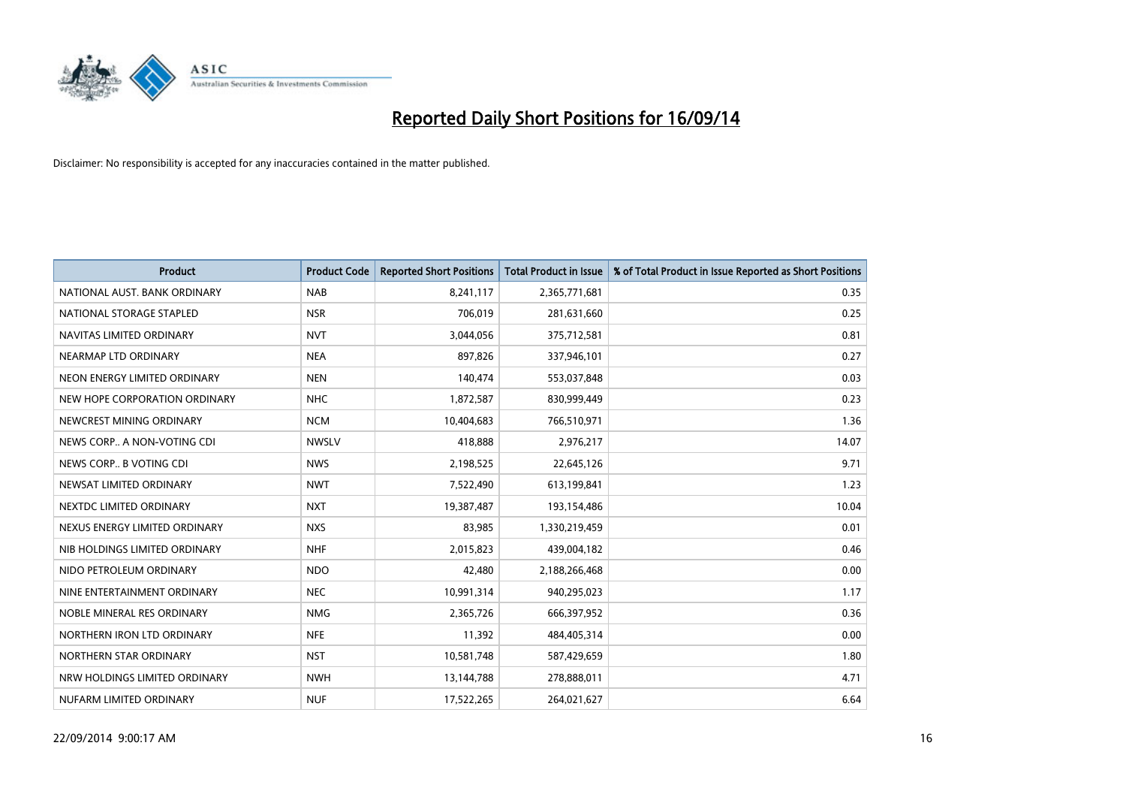

| <b>Product</b>                | <b>Product Code</b> | <b>Reported Short Positions</b> | <b>Total Product in Issue</b> | % of Total Product in Issue Reported as Short Positions |
|-------------------------------|---------------------|---------------------------------|-------------------------------|---------------------------------------------------------|
| NATIONAL AUST. BANK ORDINARY  | <b>NAB</b>          | 8,241,117                       | 2,365,771,681                 | 0.35                                                    |
| NATIONAL STORAGE STAPLED      | <b>NSR</b>          | 706,019                         | 281,631,660                   | 0.25                                                    |
| NAVITAS LIMITED ORDINARY      | <b>NVT</b>          | 3,044,056                       | 375,712,581                   | 0.81                                                    |
| NEARMAP LTD ORDINARY          | <b>NEA</b>          | 897,826                         | 337,946,101                   | 0.27                                                    |
| NEON ENERGY LIMITED ORDINARY  | <b>NEN</b>          | 140,474                         | 553,037,848                   | 0.03                                                    |
| NEW HOPE CORPORATION ORDINARY | <b>NHC</b>          | 1,872,587                       | 830,999,449                   | 0.23                                                    |
| NEWCREST MINING ORDINARY      | <b>NCM</b>          | 10,404,683                      | 766,510,971                   | 1.36                                                    |
| NEWS CORP A NON-VOTING CDI    | <b>NWSLV</b>        | 418,888                         | 2,976,217                     | 14.07                                                   |
| NEWS CORP B VOTING CDI        | <b>NWS</b>          | 2,198,525                       | 22,645,126                    | 9.71                                                    |
| NEWSAT LIMITED ORDINARY       | <b>NWT</b>          | 7,522,490                       | 613,199,841                   | 1.23                                                    |
| NEXTDC LIMITED ORDINARY       | <b>NXT</b>          | 19,387,487                      | 193,154,486                   | 10.04                                                   |
| NEXUS ENERGY LIMITED ORDINARY | <b>NXS</b>          | 83,985                          | 1,330,219,459                 | 0.01                                                    |
| NIB HOLDINGS LIMITED ORDINARY | <b>NHF</b>          | 2,015,823                       | 439,004,182                   | 0.46                                                    |
| NIDO PETROLEUM ORDINARY       | <b>NDO</b>          | 42,480                          | 2,188,266,468                 | 0.00                                                    |
| NINE ENTERTAINMENT ORDINARY   | <b>NEC</b>          | 10,991,314                      | 940,295,023                   | 1.17                                                    |
| NOBLE MINERAL RES ORDINARY    | <b>NMG</b>          | 2,365,726                       | 666,397,952                   | 0.36                                                    |
| NORTHERN IRON LTD ORDINARY    | <b>NFE</b>          | 11,392                          | 484,405,314                   | 0.00                                                    |
| NORTHERN STAR ORDINARY        | <b>NST</b>          | 10,581,748                      | 587,429,659                   | 1.80                                                    |
| NRW HOLDINGS LIMITED ORDINARY | <b>NWH</b>          | 13,144,788                      | 278,888,011                   | 4.71                                                    |
| NUFARM LIMITED ORDINARY       | <b>NUF</b>          | 17,522,265                      | 264,021,627                   | 6.64                                                    |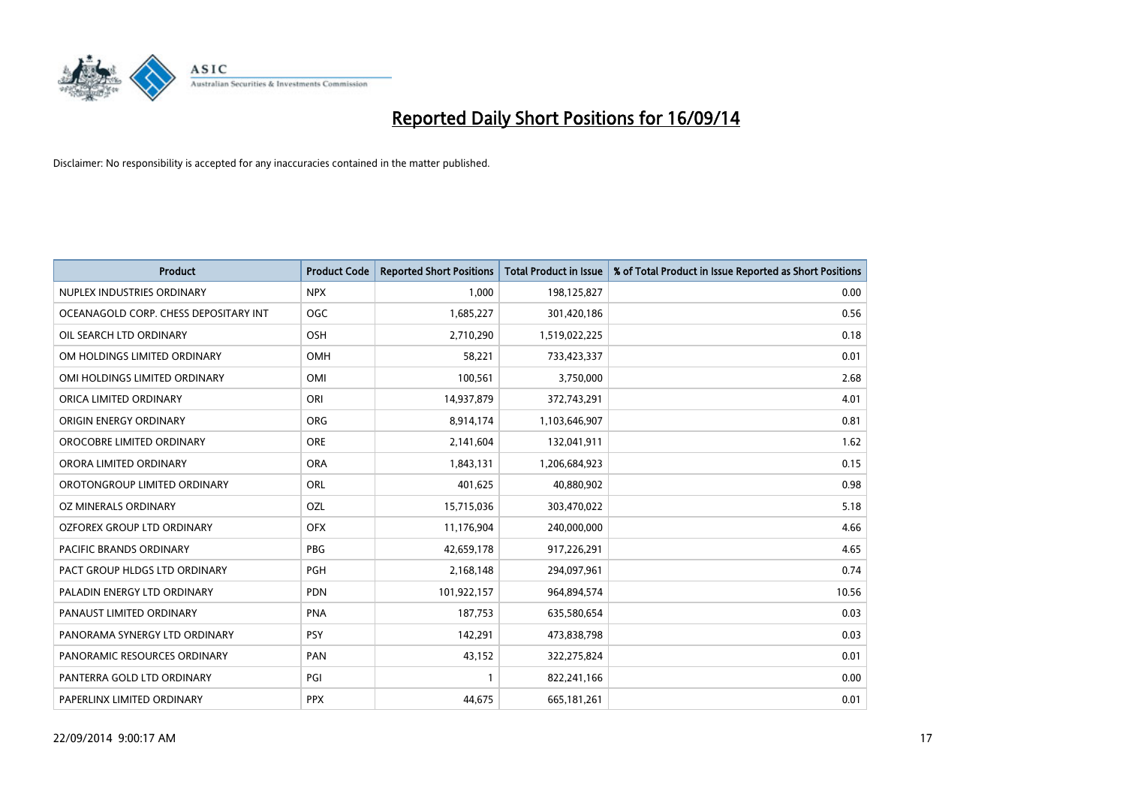

| <b>Product</b>                        | <b>Product Code</b> | <b>Reported Short Positions</b> | <b>Total Product in Issue</b> | % of Total Product in Issue Reported as Short Positions |
|---------------------------------------|---------------------|---------------------------------|-------------------------------|---------------------------------------------------------|
| NUPLEX INDUSTRIES ORDINARY            | <b>NPX</b>          | 1,000                           | 198,125,827                   | 0.00                                                    |
| OCEANAGOLD CORP. CHESS DEPOSITARY INT | <b>OGC</b>          | 1,685,227                       | 301,420,186                   | 0.56                                                    |
| OIL SEARCH LTD ORDINARY               | OSH                 | 2,710,290                       | 1,519,022,225                 | 0.18                                                    |
| OM HOLDINGS LIMITED ORDINARY          | OMH                 | 58,221                          | 733,423,337                   | 0.01                                                    |
| OMI HOLDINGS LIMITED ORDINARY         | OMI                 | 100,561                         | 3,750,000                     | 2.68                                                    |
| ORICA LIMITED ORDINARY                | ORI                 | 14,937,879                      | 372,743,291                   | 4.01                                                    |
| ORIGIN ENERGY ORDINARY                | <b>ORG</b>          | 8,914,174                       | 1,103,646,907                 | 0.81                                                    |
| OROCOBRE LIMITED ORDINARY             | <b>ORE</b>          | 2,141,604                       | 132,041,911                   | 1.62                                                    |
| ORORA LIMITED ORDINARY                | <b>ORA</b>          | 1,843,131                       | 1,206,684,923                 | 0.15                                                    |
| OROTONGROUP LIMITED ORDINARY          | ORL                 | 401,625                         | 40,880,902                    | 0.98                                                    |
| OZ MINERALS ORDINARY                  | OZL                 | 15,715,036                      | 303,470,022                   | 5.18                                                    |
| <b>OZFOREX GROUP LTD ORDINARY</b>     | <b>OFX</b>          | 11,176,904                      | 240,000,000                   | 4.66                                                    |
| PACIFIC BRANDS ORDINARY               | <b>PBG</b>          | 42,659,178                      | 917,226,291                   | 4.65                                                    |
| PACT GROUP HLDGS LTD ORDINARY         | <b>PGH</b>          | 2,168,148                       | 294,097,961                   | 0.74                                                    |
| PALADIN ENERGY LTD ORDINARY           | <b>PDN</b>          | 101,922,157                     | 964,894,574                   | 10.56                                                   |
| PANAUST LIMITED ORDINARY              | <b>PNA</b>          | 187,753                         | 635,580,654                   | 0.03                                                    |
| PANORAMA SYNERGY LTD ORDINARY         | <b>PSY</b>          | 142,291                         | 473,838,798                   | 0.03                                                    |
| PANORAMIC RESOURCES ORDINARY          | PAN                 | 43,152                          | 322,275,824                   | 0.01                                                    |
| PANTERRA GOLD LTD ORDINARY            | PGI                 | $\mathbf{1}$                    | 822,241,166                   | 0.00                                                    |
| PAPERLINX LIMITED ORDINARY            | <b>PPX</b>          | 44,675                          | 665,181,261                   | 0.01                                                    |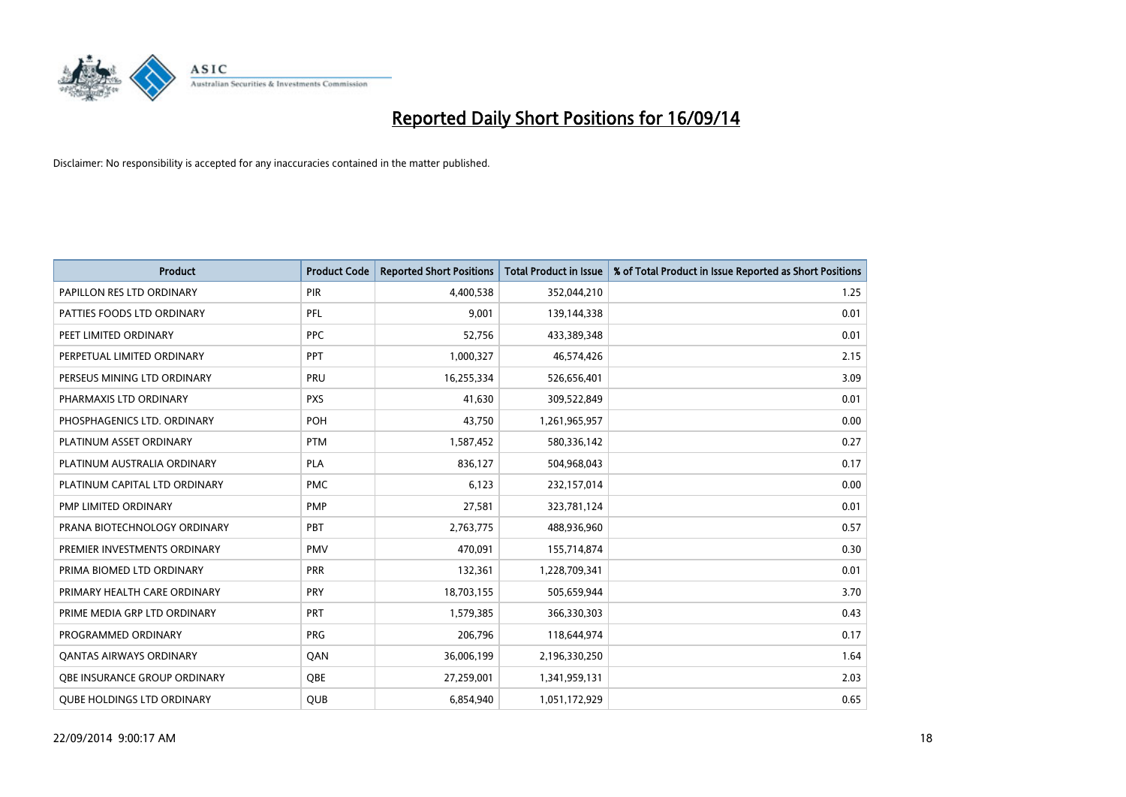

| <b>Product</b>                    | <b>Product Code</b> | <b>Reported Short Positions</b> | <b>Total Product in Issue</b> | % of Total Product in Issue Reported as Short Positions |
|-----------------------------------|---------------------|---------------------------------|-------------------------------|---------------------------------------------------------|
| PAPILLON RES LTD ORDINARY         | PIR                 | 4,400,538                       | 352,044,210                   | 1.25                                                    |
| PATTIES FOODS LTD ORDINARY        | PFL                 | 9,001                           | 139,144,338                   | 0.01                                                    |
| PEET LIMITED ORDINARY             | <b>PPC</b>          | 52,756                          | 433,389,348                   | 0.01                                                    |
| PERPETUAL LIMITED ORDINARY        | PPT                 | 1,000,327                       | 46,574,426                    | 2.15                                                    |
| PERSEUS MINING LTD ORDINARY       | PRU                 | 16,255,334                      | 526,656,401                   | 3.09                                                    |
| PHARMAXIS LTD ORDINARY            | <b>PXS</b>          | 41,630                          | 309,522,849                   | 0.01                                                    |
| PHOSPHAGENICS LTD. ORDINARY       | <b>POH</b>          | 43,750                          | 1,261,965,957                 | 0.00                                                    |
| PLATINUM ASSET ORDINARY           | <b>PTM</b>          | 1,587,452                       | 580,336,142                   | 0.27                                                    |
| PLATINUM AUSTRALIA ORDINARY       | <b>PLA</b>          | 836,127                         | 504,968,043                   | 0.17                                                    |
| PLATINUM CAPITAL LTD ORDINARY     | <b>PMC</b>          | 6,123                           | 232,157,014                   | 0.00                                                    |
| PMP LIMITED ORDINARY              | <b>PMP</b>          | 27,581                          | 323,781,124                   | 0.01                                                    |
| PRANA BIOTECHNOLOGY ORDINARY      | <b>PBT</b>          | 2,763,775                       | 488,936,960                   | 0.57                                                    |
| PREMIER INVESTMENTS ORDINARY      | <b>PMV</b>          | 470,091                         | 155,714,874                   | 0.30                                                    |
| PRIMA BIOMED LTD ORDINARY         | <b>PRR</b>          | 132,361                         | 1,228,709,341                 | 0.01                                                    |
| PRIMARY HEALTH CARE ORDINARY      | <b>PRY</b>          | 18,703,155                      | 505,659,944                   | 3.70                                                    |
| PRIME MEDIA GRP LTD ORDINARY      | PRT                 | 1,579,385                       | 366,330,303                   | 0.43                                                    |
| PROGRAMMED ORDINARY               | PRG                 | 206,796                         | 118,644,974                   | 0.17                                                    |
| <b>QANTAS AIRWAYS ORDINARY</b>    | QAN                 | 36,006,199                      | 2,196,330,250                 | 1.64                                                    |
| OBE INSURANCE GROUP ORDINARY      | <b>OBE</b>          | 27,259,001                      | 1,341,959,131                 | 2.03                                                    |
| <b>QUBE HOLDINGS LTD ORDINARY</b> | <b>QUB</b>          | 6,854,940                       | 1,051,172,929                 | 0.65                                                    |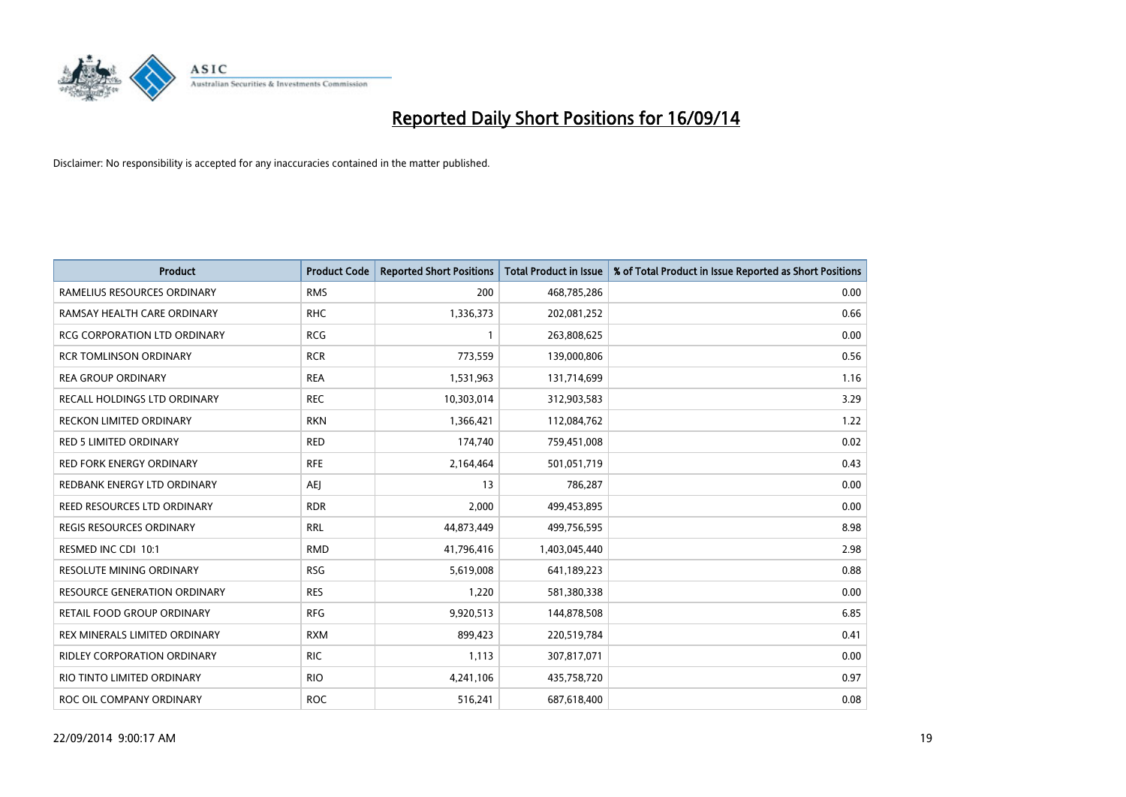

| Product                             | <b>Product Code</b> | <b>Reported Short Positions</b> | <b>Total Product in Issue</b> | % of Total Product in Issue Reported as Short Positions |
|-------------------------------------|---------------------|---------------------------------|-------------------------------|---------------------------------------------------------|
| RAMELIUS RESOURCES ORDINARY         | <b>RMS</b>          | 200                             | 468,785,286                   | 0.00                                                    |
| RAMSAY HEALTH CARE ORDINARY         | <b>RHC</b>          | 1,336,373                       | 202,081,252                   | 0.66                                                    |
| <b>RCG CORPORATION LTD ORDINARY</b> | <b>RCG</b>          | 1                               | 263,808,625                   | 0.00                                                    |
| <b>RCR TOMLINSON ORDINARY</b>       | <b>RCR</b>          | 773,559                         | 139,000,806                   | 0.56                                                    |
| <b>REA GROUP ORDINARY</b>           | <b>REA</b>          | 1,531,963                       | 131,714,699                   | 1.16                                                    |
| RECALL HOLDINGS LTD ORDINARY        | <b>REC</b>          | 10,303,014                      | 312,903,583                   | 3.29                                                    |
| <b>RECKON LIMITED ORDINARY</b>      | <b>RKN</b>          | 1,366,421                       | 112,084,762                   | 1.22                                                    |
| <b>RED 5 LIMITED ORDINARY</b>       | <b>RED</b>          | 174,740                         | 759,451,008                   | 0.02                                                    |
| <b>RED FORK ENERGY ORDINARY</b>     | <b>RFE</b>          | 2,164,464                       | 501,051,719                   | 0.43                                                    |
| REDBANK ENERGY LTD ORDINARY         | <b>AEI</b>          | 13                              | 786,287                       | 0.00                                                    |
| REED RESOURCES LTD ORDINARY         | <b>RDR</b>          | 2,000                           | 499,453,895                   | 0.00                                                    |
| <b>REGIS RESOURCES ORDINARY</b>     | <b>RRL</b>          | 44,873,449                      | 499,756,595                   | 8.98                                                    |
| RESMED INC CDI 10:1                 | <b>RMD</b>          | 41,796,416                      | 1,403,045,440                 | 2.98                                                    |
| RESOLUTE MINING ORDINARY            | <b>RSG</b>          | 5,619,008                       | 641,189,223                   | 0.88                                                    |
| <b>RESOURCE GENERATION ORDINARY</b> | <b>RES</b>          | 1,220                           | 581,380,338                   | 0.00                                                    |
| RETAIL FOOD GROUP ORDINARY          | <b>RFG</b>          | 9,920,513                       | 144,878,508                   | 6.85                                                    |
| REX MINERALS LIMITED ORDINARY       | <b>RXM</b>          | 899,423                         | 220,519,784                   | 0.41                                                    |
| RIDLEY CORPORATION ORDINARY         | <b>RIC</b>          | 1,113                           | 307,817,071                   | 0.00                                                    |
| RIO TINTO LIMITED ORDINARY          | <b>RIO</b>          | 4,241,106                       | 435,758,720                   | 0.97                                                    |
| ROC OIL COMPANY ORDINARY            | <b>ROC</b>          | 516,241                         | 687,618,400                   | 0.08                                                    |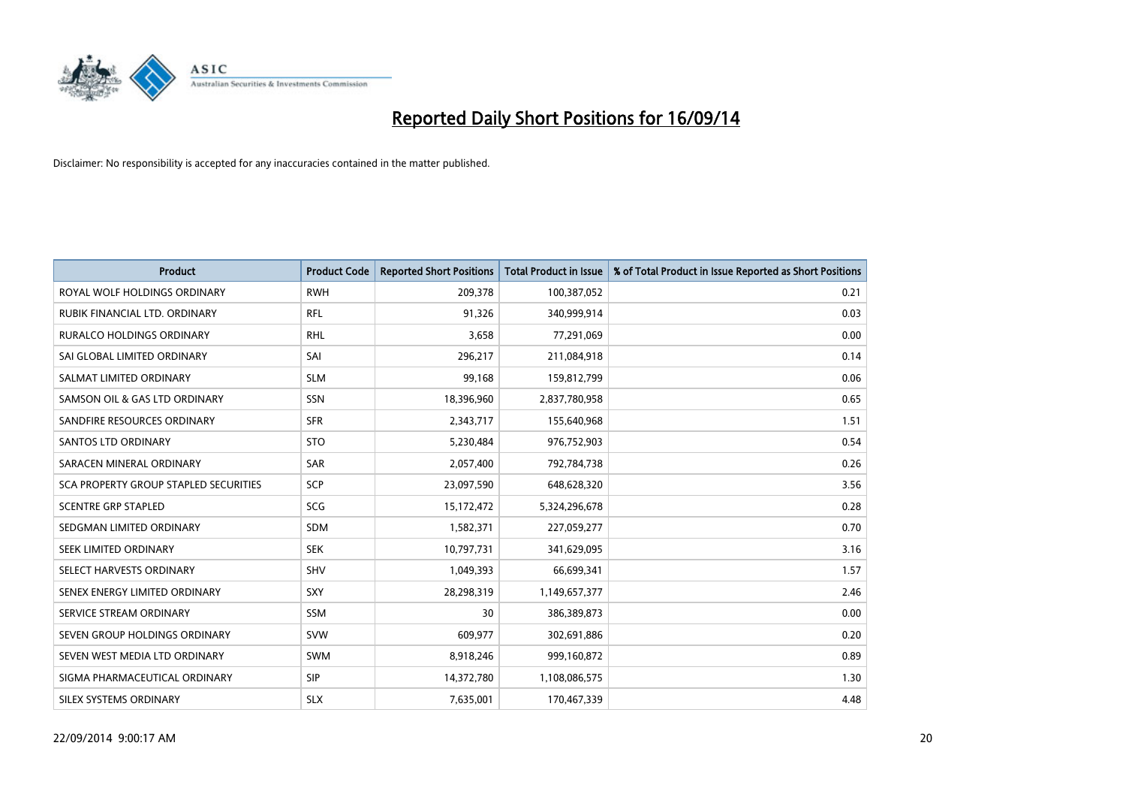

| <b>Product</b>                        | <b>Product Code</b> | <b>Reported Short Positions</b> | <b>Total Product in Issue</b> | % of Total Product in Issue Reported as Short Positions |
|---------------------------------------|---------------------|---------------------------------|-------------------------------|---------------------------------------------------------|
| ROYAL WOLF HOLDINGS ORDINARY          | <b>RWH</b>          | 209,378                         | 100,387,052                   | 0.21                                                    |
| RUBIK FINANCIAL LTD. ORDINARY         | <b>RFL</b>          | 91,326                          | 340,999,914                   | 0.03                                                    |
| RURALCO HOLDINGS ORDINARY             | <b>RHL</b>          | 3,658                           | 77,291,069                    | 0.00                                                    |
| SAI GLOBAL LIMITED ORDINARY           | SAI                 | 296,217                         | 211,084,918                   | 0.14                                                    |
| SALMAT LIMITED ORDINARY               | <b>SLM</b>          | 99,168                          | 159,812,799                   | 0.06                                                    |
| SAMSON OIL & GAS LTD ORDINARY         | <b>SSN</b>          | 18,396,960                      | 2,837,780,958                 | 0.65                                                    |
| SANDFIRE RESOURCES ORDINARY           | <b>SFR</b>          | 2,343,717                       | 155,640,968                   | 1.51                                                    |
| <b>SANTOS LTD ORDINARY</b>            | <b>STO</b>          | 5,230,484                       | 976,752,903                   | 0.54                                                    |
| SARACEN MINERAL ORDINARY              | <b>SAR</b>          | 2,057,400                       | 792,784,738                   | 0.26                                                    |
| SCA PROPERTY GROUP STAPLED SECURITIES | SCP                 | 23,097,590                      | 648,628,320                   | 3.56                                                    |
| <b>SCENTRE GRP STAPLED</b>            | SCG                 | 15,172,472                      | 5,324,296,678                 | 0.28                                                    |
| SEDGMAN LIMITED ORDINARY              | <b>SDM</b>          | 1,582,371                       | 227,059,277                   | 0.70                                                    |
| SEEK LIMITED ORDINARY                 | <b>SEK</b>          | 10,797,731                      | 341,629,095                   | 3.16                                                    |
| SELECT HARVESTS ORDINARY              | <b>SHV</b>          | 1,049,393                       | 66,699,341                    | 1.57                                                    |
| SENEX ENERGY LIMITED ORDINARY         | <b>SXY</b>          | 28,298,319                      | 1,149,657,377                 | 2.46                                                    |
| SERVICE STREAM ORDINARY               | SSM                 | 30                              | 386,389,873                   | 0.00                                                    |
| SEVEN GROUP HOLDINGS ORDINARY         | <b>SVW</b>          | 609,977                         | 302,691,886                   | 0.20                                                    |
| SEVEN WEST MEDIA LTD ORDINARY         | <b>SWM</b>          | 8,918,246                       | 999,160,872                   | 0.89                                                    |
| SIGMA PHARMACEUTICAL ORDINARY         | <b>SIP</b>          | 14,372,780                      | 1,108,086,575                 | 1.30                                                    |
| SILEX SYSTEMS ORDINARY                | <b>SLX</b>          | 7,635,001                       | 170,467,339                   | 4.48                                                    |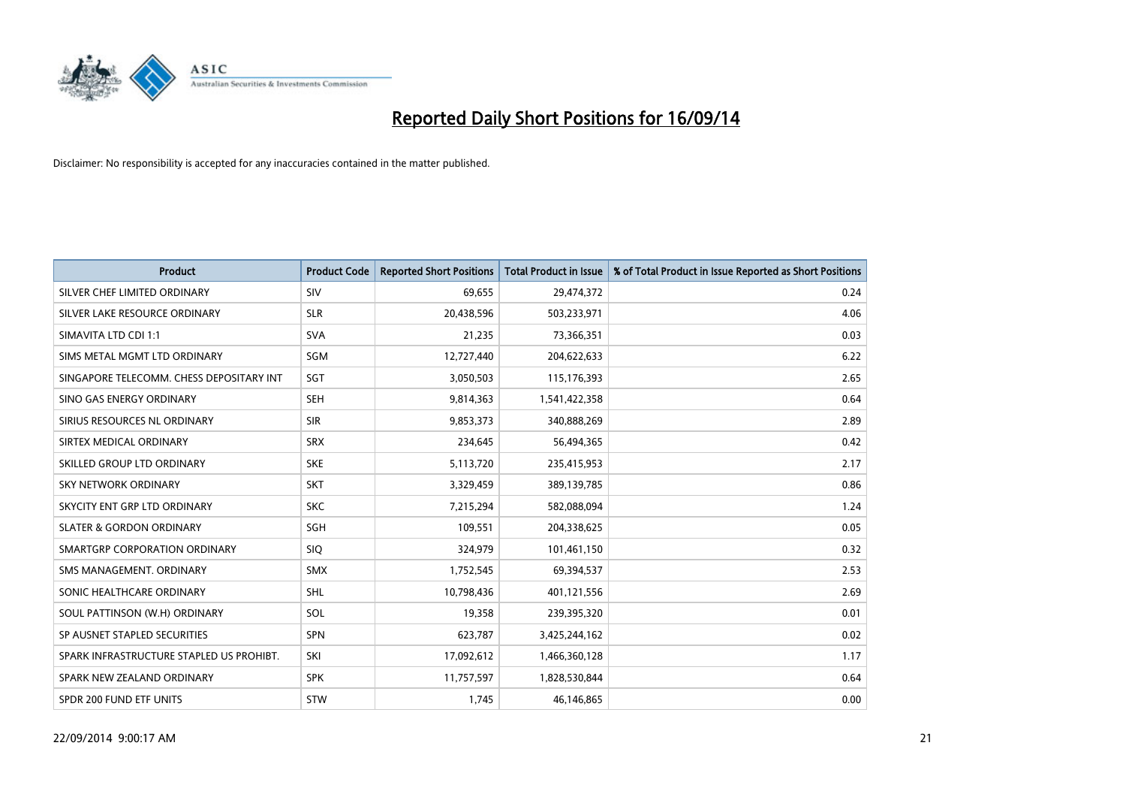

| <b>Product</b>                           | <b>Product Code</b> | <b>Reported Short Positions</b> | <b>Total Product in Issue</b> | % of Total Product in Issue Reported as Short Positions |
|------------------------------------------|---------------------|---------------------------------|-------------------------------|---------------------------------------------------------|
| SILVER CHEF LIMITED ORDINARY             | SIV                 | 69,655                          | 29,474,372                    | 0.24                                                    |
| SILVER LAKE RESOURCE ORDINARY            | <b>SLR</b>          | 20,438,596                      | 503,233,971                   | 4.06                                                    |
| SIMAVITA LTD CDI 1:1                     | <b>SVA</b>          | 21,235                          | 73,366,351                    | 0.03                                                    |
| SIMS METAL MGMT LTD ORDINARY             | SGM                 | 12,727,440                      | 204,622,633                   | 6.22                                                    |
| SINGAPORE TELECOMM. CHESS DEPOSITARY INT | SGT                 | 3,050,503                       | 115,176,393                   | 2.65                                                    |
| SINO GAS ENERGY ORDINARY                 | <b>SEH</b>          | 9,814,363                       | 1,541,422,358                 | 0.64                                                    |
| SIRIUS RESOURCES NL ORDINARY             | <b>SIR</b>          | 9,853,373                       | 340,888,269                   | 2.89                                                    |
| SIRTEX MEDICAL ORDINARY                  | <b>SRX</b>          | 234,645                         | 56,494,365                    | 0.42                                                    |
| SKILLED GROUP LTD ORDINARY               | <b>SKE</b>          | 5,113,720                       | 235,415,953                   | 2.17                                                    |
| <b>SKY NETWORK ORDINARY</b>              | <b>SKT</b>          | 3,329,459                       | 389,139,785                   | 0.86                                                    |
| SKYCITY ENT GRP LTD ORDINARY             | <b>SKC</b>          | 7,215,294                       | 582,088,094                   | 1.24                                                    |
| <b>SLATER &amp; GORDON ORDINARY</b>      | SGH                 | 109,551                         | 204,338,625                   | 0.05                                                    |
| SMARTGRP CORPORATION ORDINARY            | <b>SIQ</b>          | 324,979                         | 101,461,150                   | 0.32                                                    |
| SMS MANAGEMENT, ORDINARY                 | <b>SMX</b>          | 1,752,545                       | 69,394,537                    | 2.53                                                    |
| SONIC HEALTHCARE ORDINARY                | <b>SHL</b>          | 10,798,436                      | 401,121,556                   | 2.69                                                    |
| SOUL PATTINSON (W.H) ORDINARY            | SOL                 | 19,358                          | 239,395,320                   | 0.01                                                    |
| SP AUSNET STAPLED SECURITIES             | SPN                 | 623,787                         | 3,425,244,162                 | 0.02                                                    |
| SPARK INFRASTRUCTURE STAPLED US PROHIBT. | SKI                 | 17,092,612                      | 1,466,360,128                 | 1.17                                                    |
| SPARK NEW ZEALAND ORDINARY               | <b>SPK</b>          | 11,757,597                      | 1,828,530,844                 | 0.64                                                    |
| SPDR 200 FUND ETF UNITS                  | <b>STW</b>          | 1,745                           | 46,146,865                    | 0.00                                                    |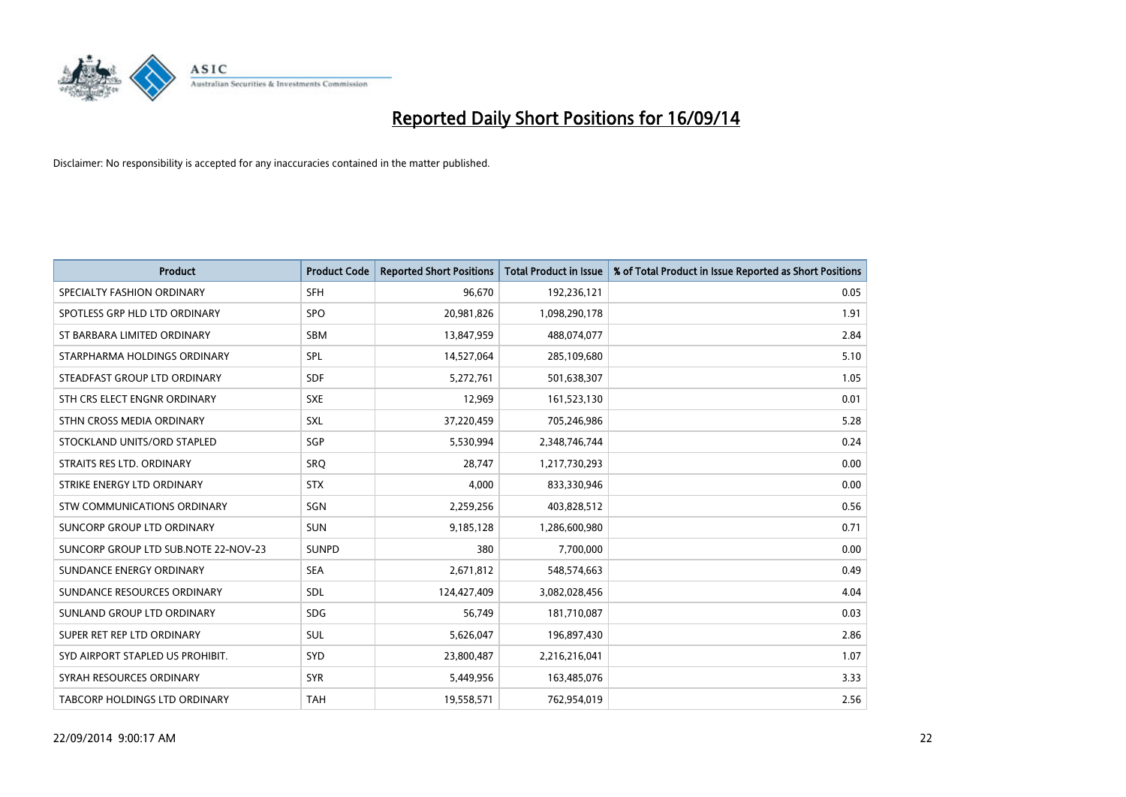

| <b>Product</b>                       | <b>Product Code</b> | <b>Reported Short Positions</b> | <b>Total Product in Issue</b> | % of Total Product in Issue Reported as Short Positions |
|--------------------------------------|---------------------|---------------------------------|-------------------------------|---------------------------------------------------------|
| SPECIALTY FASHION ORDINARY           | <b>SFH</b>          | 96,670                          | 192,236,121                   | 0.05                                                    |
| SPOTLESS GRP HLD LTD ORDINARY        | <b>SPO</b>          | 20,981,826                      | 1,098,290,178                 | 1.91                                                    |
| ST BARBARA LIMITED ORDINARY          | <b>SBM</b>          | 13,847,959                      | 488,074,077                   | 2.84                                                    |
| STARPHARMA HOLDINGS ORDINARY         | <b>SPL</b>          | 14,527,064                      | 285,109,680                   | 5.10                                                    |
| STEADFAST GROUP LTD ORDINARY         | <b>SDF</b>          | 5,272,761                       | 501,638,307                   | 1.05                                                    |
| STH CRS ELECT ENGNR ORDINARY         | <b>SXE</b>          | 12,969                          | 161,523,130                   | 0.01                                                    |
| STHN CROSS MEDIA ORDINARY            | <b>SXL</b>          | 37,220,459                      | 705,246,986                   | 5.28                                                    |
| STOCKLAND UNITS/ORD STAPLED          | <b>SGP</b>          | 5,530,994                       | 2,348,746,744                 | 0.24                                                    |
| STRAITS RES LTD. ORDINARY            | SRO                 | 28.747                          | 1,217,730,293                 | 0.00                                                    |
| STRIKE ENERGY LTD ORDINARY           | <b>STX</b>          | 4,000                           | 833,330,946                   | 0.00                                                    |
| STW COMMUNICATIONS ORDINARY          | SGN                 | 2,259,256                       | 403,828,512                   | 0.56                                                    |
| SUNCORP GROUP LTD ORDINARY           | <b>SUN</b>          | 9,185,128                       | 1,286,600,980                 | 0.71                                                    |
| SUNCORP GROUP LTD SUB.NOTE 22-NOV-23 | <b>SUNPD</b>        | 380                             | 7,700,000                     | 0.00                                                    |
| SUNDANCE ENERGY ORDINARY             | <b>SEA</b>          | 2,671,812                       | 548,574,663                   | 0.49                                                    |
| SUNDANCE RESOURCES ORDINARY          | SDL                 | 124,427,409                     | 3,082,028,456                 | 4.04                                                    |
| SUNLAND GROUP LTD ORDINARY           | <b>SDG</b>          | 56,749                          | 181,710,087                   | 0.03                                                    |
| SUPER RET REP LTD ORDINARY           | <b>SUL</b>          | 5,626,047                       | 196,897,430                   | 2.86                                                    |
| SYD AIRPORT STAPLED US PROHIBIT.     | <b>SYD</b>          | 23,800,487                      | 2,216,216,041                 | 1.07                                                    |
| SYRAH RESOURCES ORDINARY             | <b>SYR</b>          | 5,449,956                       | 163,485,076                   | 3.33                                                    |
| TABCORP HOLDINGS LTD ORDINARY        | <b>TAH</b>          | 19,558,571                      | 762,954,019                   | 2.56                                                    |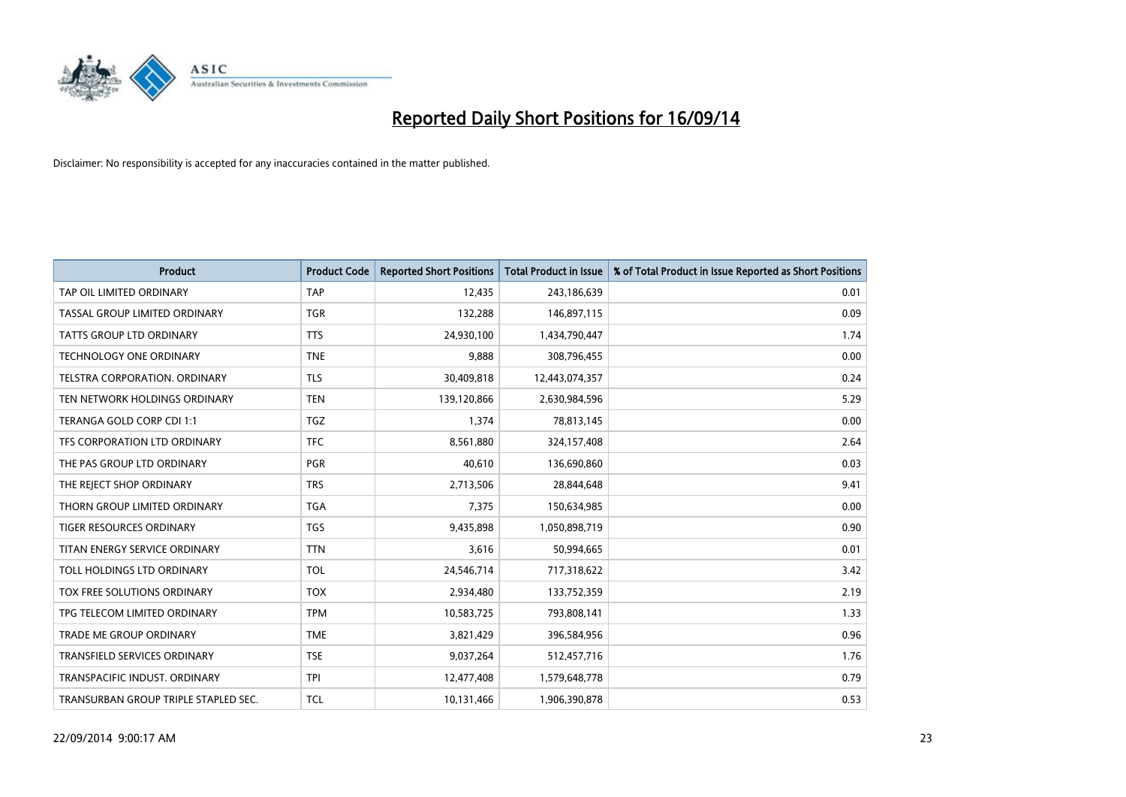

| <b>Product</b>                       | <b>Product Code</b> | <b>Reported Short Positions</b> | <b>Total Product in Issue</b> | % of Total Product in Issue Reported as Short Positions |
|--------------------------------------|---------------------|---------------------------------|-------------------------------|---------------------------------------------------------|
| TAP OIL LIMITED ORDINARY             | <b>TAP</b>          | 12,435                          | 243,186,639                   | 0.01                                                    |
| TASSAL GROUP LIMITED ORDINARY        | <b>TGR</b>          | 132,288                         | 146,897,115                   | 0.09                                                    |
| <b>TATTS GROUP LTD ORDINARY</b>      | <b>TTS</b>          | 24,930,100                      | 1,434,790,447                 | 1.74                                                    |
| <b>TECHNOLOGY ONE ORDINARY</b>       | <b>TNE</b>          | 9,888                           | 308,796,455                   | 0.00                                                    |
| TELSTRA CORPORATION, ORDINARY        | <b>TLS</b>          | 30,409,818                      | 12,443,074,357                | 0.24                                                    |
| TEN NETWORK HOLDINGS ORDINARY        | <b>TEN</b>          | 139,120,866                     | 2,630,984,596                 | 5.29                                                    |
| TERANGA GOLD CORP CDI 1:1            | <b>TGZ</b>          | 1,374                           | 78,813,145                    | 0.00                                                    |
| TFS CORPORATION LTD ORDINARY         | <b>TFC</b>          | 8,561,880                       | 324,157,408                   | 2.64                                                    |
| THE PAS GROUP LTD ORDINARY           | <b>PGR</b>          | 40,610                          | 136,690,860                   | 0.03                                                    |
| THE REJECT SHOP ORDINARY             | <b>TRS</b>          | 2,713,506                       | 28,844,648                    | 9.41                                                    |
| THORN GROUP LIMITED ORDINARY         | <b>TGA</b>          | 7,375                           | 150,634,985                   | 0.00                                                    |
| TIGER RESOURCES ORDINARY             | <b>TGS</b>          | 9,435,898                       | 1,050,898,719                 | 0.90                                                    |
| TITAN ENERGY SERVICE ORDINARY        | <b>TTN</b>          | 3,616                           | 50,994,665                    | 0.01                                                    |
| TOLL HOLDINGS LTD ORDINARY           | <b>TOL</b>          | 24,546,714                      | 717,318,622                   | 3.42                                                    |
| TOX FREE SOLUTIONS ORDINARY          | <b>TOX</b>          | 2,934,480                       | 133,752,359                   | 2.19                                                    |
| TPG TELECOM LIMITED ORDINARY         | <b>TPM</b>          | 10,583,725                      | 793,808,141                   | 1.33                                                    |
| TRADE ME GROUP ORDINARY              | <b>TME</b>          | 3,821,429                       | 396,584,956                   | 0.96                                                    |
| <b>TRANSFIELD SERVICES ORDINARY</b>  | <b>TSE</b>          | 9,037,264                       | 512,457,716                   | 1.76                                                    |
| TRANSPACIFIC INDUST, ORDINARY        | <b>TPI</b>          | 12,477,408                      | 1,579,648,778                 | 0.79                                                    |
| TRANSURBAN GROUP TRIPLE STAPLED SEC. | <b>TCL</b>          | 10,131,466                      | 1,906,390,878                 | 0.53                                                    |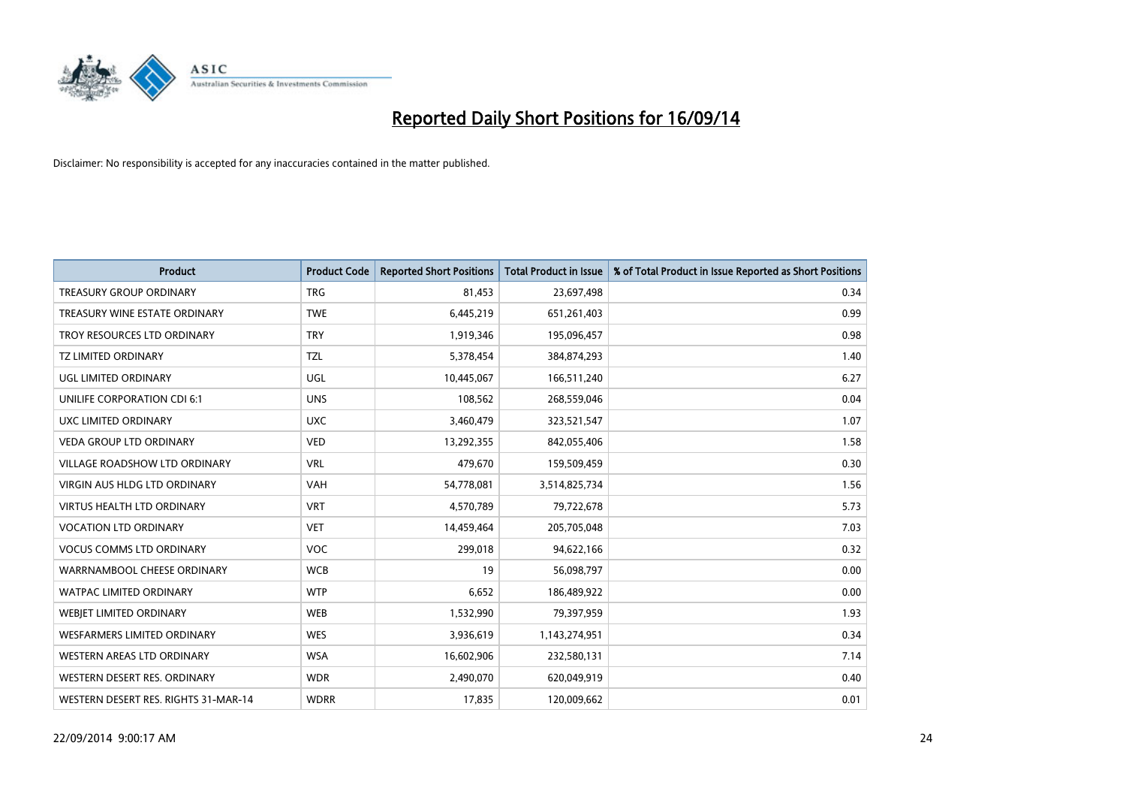

| <b>Product</b>                       | <b>Product Code</b> | <b>Reported Short Positions</b> | <b>Total Product in Issue</b> | % of Total Product in Issue Reported as Short Positions |
|--------------------------------------|---------------------|---------------------------------|-------------------------------|---------------------------------------------------------|
| <b>TREASURY GROUP ORDINARY</b>       | <b>TRG</b>          | 81,453                          | 23,697,498                    | 0.34                                                    |
| TREASURY WINE ESTATE ORDINARY        | <b>TWE</b>          | 6,445,219                       | 651,261,403                   | 0.99                                                    |
| TROY RESOURCES LTD ORDINARY          | <b>TRY</b>          | 1,919,346                       | 195,096,457                   | 0.98                                                    |
| <b>TZ LIMITED ORDINARY</b>           | <b>TZL</b>          | 5,378,454                       | 384,874,293                   | 1.40                                                    |
| UGL LIMITED ORDINARY                 | UGL                 | 10,445,067                      | 166,511,240                   | 6.27                                                    |
| UNILIFE CORPORATION CDI 6:1          | <b>UNS</b>          | 108,562                         | 268,559,046                   | 0.04                                                    |
| UXC LIMITED ORDINARY                 | <b>UXC</b>          | 3,460,479                       | 323,521,547                   | 1.07                                                    |
| <b>VEDA GROUP LTD ORDINARY</b>       | <b>VED</b>          | 13,292,355                      | 842,055,406                   | 1.58                                                    |
| <b>VILLAGE ROADSHOW LTD ORDINARY</b> | <b>VRL</b>          | 479,670                         | 159,509,459                   | 0.30                                                    |
| VIRGIN AUS HLDG LTD ORDINARY         | <b>VAH</b>          | 54,778,081                      | 3,514,825,734                 | 1.56                                                    |
| VIRTUS HEALTH LTD ORDINARY           | <b>VRT</b>          | 4,570,789                       | 79,722,678                    | 5.73                                                    |
| <b>VOCATION LTD ORDINARY</b>         | <b>VET</b>          | 14,459,464                      | 205,705,048                   | 7.03                                                    |
| <b>VOCUS COMMS LTD ORDINARY</b>      | <b>VOC</b>          | 299,018                         | 94,622,166                    | 0.32                                                    |
| WARRNAMBOOL CHEESE ORDINARY          | <b>WCB</b>          | 19                              | 56,098,797                    | 0.00                                                    |
| <b>WATPAC LIMITED ORDINARY</b>       | <b>WTP</b>          | 6,652                           | 186,489,922                   | 0.00                                                    |
| WEBJET LIMITED ORDINARY              | <b>WEB</b>          | 1,532,990                       | 79,397,959                    | 1.93                                                    |
| WESFARMERS LIMITED ORDINARY          | <b>WES</b>          | 3,936,619                       | 1,143,274,951                 | 0.34                                                    |
| WESTERN AREAS LTD ORDINARY           | <b>WSA</b>          | 16,602,906                      | 232,580,131                   | 7.14                                                    |
| WESTERN DESERT RES. ORDINARY         | <b>WDR</b>          | 2,490,070                       | 620,049,919                   | 0.40                                                    |
| WESTERN DESERT RES. RIGHTS 31-MAR-14 | <b>WDRR</b>         | 17,835                          | 120,009,662                   | 0.01                                                    |